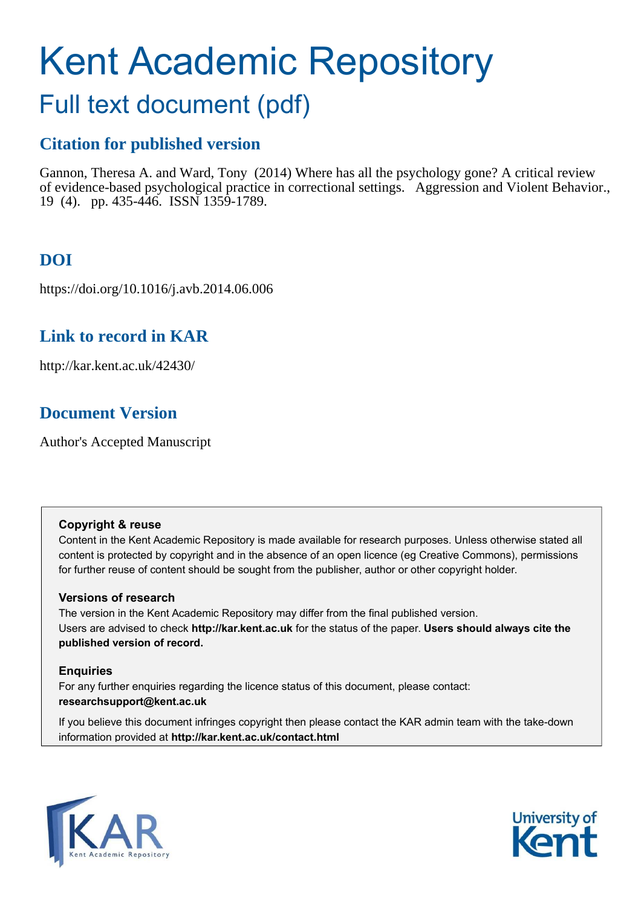# Kent Academic Repository

## Full text document (pdf)

## **Citation for published version**

Gannon, Theresa A. and Ward, Tony (2014) Where has all the psychology gone? A critical review of evidence-based psychological practice in correctional settings. Aggression and Violent Behavior., 19 (4). pp. 435-446. ISSN 1359-1789.

## **DOI**

https://doi.org/10.1016/j.avb.2014.06.006

## **Link to record in KAR**

http://kar.kent.ac.uk/42430/

## **Document Version**

Author's Accepted Manuscript

#### **Copyright & reuse**

Content in the Kent Academic Repository is made available for research purposes. Unless otherwise stated all content is protected by copyright and in the absence of an open licence (eg Creative Commons), permissions for further reuse of content should be sought from the publisher, author or other copyright holder.

#### **Versions of research**

The version in the Kent Academic Repository may differ from the final published version. Users are advised to check **http://kar.kent.ac.uk** for the status of the paper. **Users should always cite the published version of record.**

#### **Enquiries**

For any further enquiries regarding the licence status of this document, please contact: **researchsupport@kent.ac.uk**

If you believe this document infringes copyright then please contact the KAR admin team with the take-down information provided at **http://kar.kent.ac.uk/contact.html**



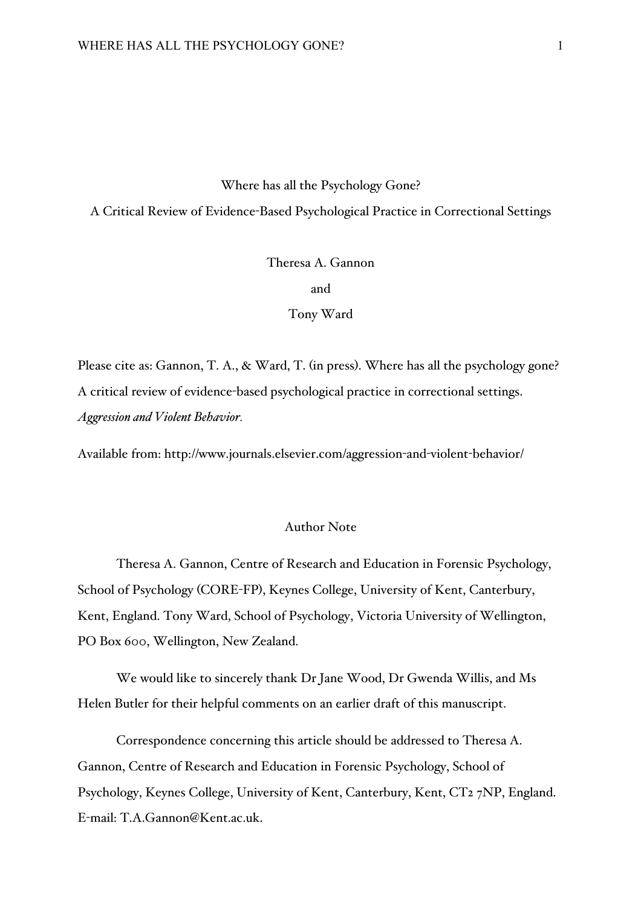#### Where has all the Psychology Gone?

A Critical Review of Evidence-Based Psychological Practice in Correctional Settings

Theresa A. Gannon and Tony Ward

Please cite as: Gannon, T. A., & Ward, T. (in press). Where has all the psychology gone? A critical review of evidence-based psychological practice in correctional settings. *Aggression and Violent Behavior.* 

Available from: http://www.journals.elsevier.com/aggression-and-violent-behavior/

#### Author Note

Theresa A. Gannon, Centre of Research and Education in Forensic Psychology, School of Psychology (CORE-FP), Keynes College, University of Kent, Canterbury, Kent, England. Tony Ward, School of Psychology, Victoria University of Wellington, PO Box 600, Wellington, New Zealand.

We would like to sincerely thank Dr Jane Wood, Dr Gwenda Willis, and Ms Helen Butler for their helpful comments on an earlier draft of this manuscript.

Correspondence concerning this article should be addressed to Theresa A. Gannon, Centre of Research and Education in Forensic Psychology, School of Psychology, Keynes College, University of Kent, Canterbury, Kent, CT2 7NP, England. E-mail: T.A.Gannon@Kent.ac.uk.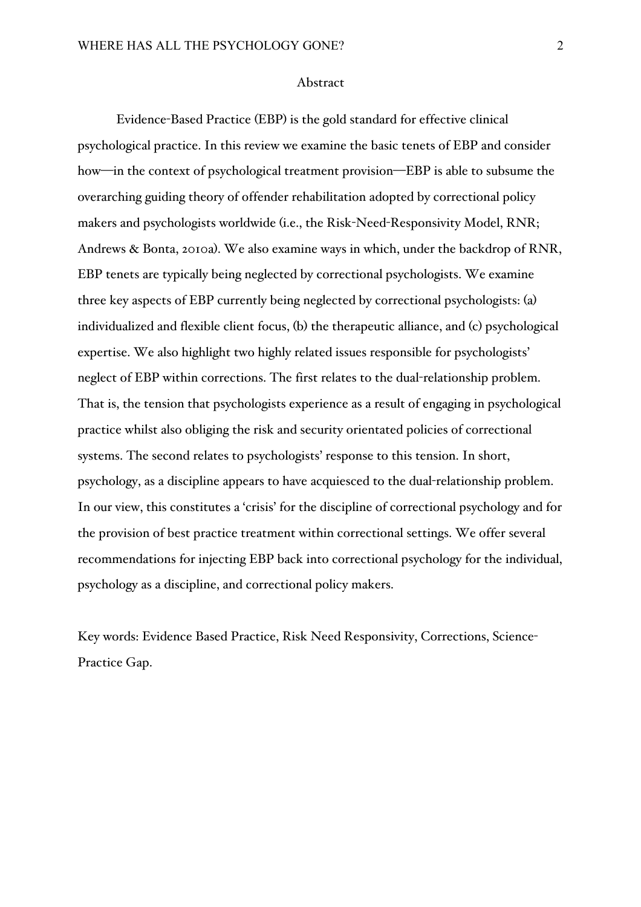#### Abstract

Evidence-Based Practice (EBP) is the gold standard for effective clinical psychological practice. In this review we examine the basic tenets of EBP and consider how—in the context of psychological treatment provision—EBP is able to subsume the overarching guiding theory of offender rehabilitation adopted by correctional policy makers and psychologists worldwide (i.e., the Risk-Need-Responsivity Model, RNR; Andrews & Bonta, 2010a). We also examine ways in which, under the backdrop of RNR, EBP tenets are typically being neglected by correctional psychologists. We examine three key aspects of EBP currently being neglected by correctional psychologists: (a) individualized and flexible client focus, (b) the therapeutic alliance, and (c) psychological expertise. We also highlight two highly related issues responsible for psychologists' neglect of EBP within corrections. The first relates to the dual-relationship problem. That is, the tension that psychologists experience as a result of engaging in psychological practice whilst also obliging the risk and security orientated policies of correctional systems. The second relates to psychologists' response to this tension. In short, psychology, as a discipline appears to have acquiesced to the dual-relationship problem. In our view, this constitutes a 'crisis' for the discipline of correctional psychology and for the provision of best practice treatment within correctional settings. We offer several recommendations for injecting EBP back into correctional psychology for the individual, psychology as a discipline, and correctional policy makers.

Key words: Evidence Based Practice, Risk Need Responsivity, Corrections, Science-Practice Gap.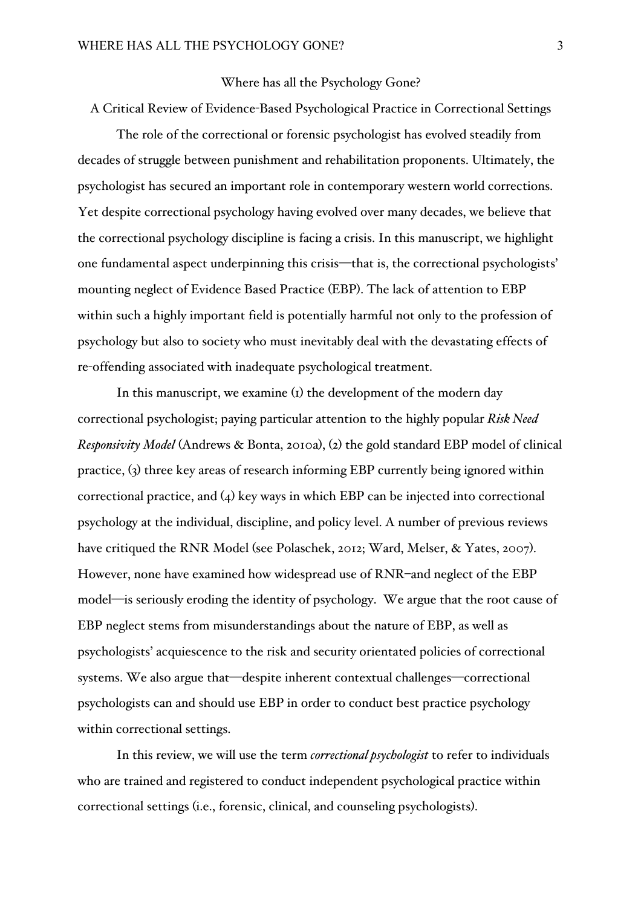#### Where has all the Psychology Gone?

A Critical Review of Evidence-Based Psychological Practice in Correctional Settings

The role of the correctional or forensic psychologist has evolved steadily from decades of struggle between punishment and rehabilitation proponents. Ultimately, the psychologist has secured an important role in contemporary western world corrections. Yet despite correctional psychology having evolved over many decades, we believe that the correctional psychology discipline is facing a crisis. In this manuscript, we highlight one fundamental aspect underpinning this crisis—that is, the correctional psychologists' mounting neglect of Evidence Based Practice (EBP). The lack of attention to EBP within such a highly important field is potentially harmful not only to the profession of psychology but also to society who must inevitably deal with the devastating effects of re-offending associated with inadequate psychological treatment.

In this manuscript, we examine (1) the development of the modern day correctional psychologist; paying particular attention to the highly popular *Risk Need Responsivity Model* (Andrews & Bonta, 2010a), (2) the gold standard EBP model of clinical practice, (3) three key areas of research informing EBP currently being ignored within correctional practice, and (4) key ways in which EBP can be injected into correctional psychology at the individual, discipline, and policy level. A number of previous reviews have critiqued the RNR Model (see Polaschek, 2012; Ward, Melser, & Yates, 2007). However, none have examined how widespread use of RNR–and neglect of the EBP model—is seriously eroding the identity of psychology. We argue that the root cause of EBP neglect stems from misunderstandings about the nature of EBP, as well as psychologists' acquiescence to the risk and security orientated policies of correctional systems. We also argue that—despite inherent contextual challenges—correctional psychologists can and should use EBP in order to conduct best practice psychology within correctional settings.

In this review, we will use the term *correctional psychologist* to refer to individuals who are trained and registered to conduct independent psychological practice within correctional settings (i.e., forensic, clinical, and counseling psychologists).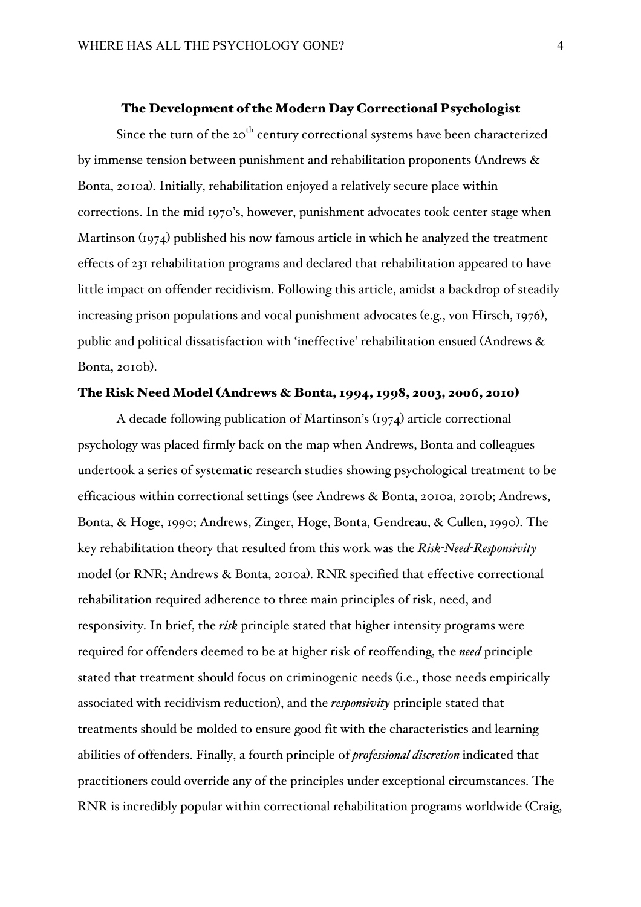#### The Development of the Modern Day Correctional Psychologist

Since the turn of the  $20<sup>th</sup>$  century correctional systems have been characterized by immense tension between punishment and rehabilitation proponents (Andrews & Bonta, 2010a). Initially, rehabilitation enjoyed a relatively secure place within corrections. In the mid 1970's, however, punishment advocates took center stage when Martinson (1974) published his now famous article in which he analyzed the treatment effects of 231 rehabilitation programs and declared that rehabilitation appeared to have little impact on offender recidivism. Following this article, amidst a backdrop of steadily increasing prison populations and vocal punishment advocates (e.g., von Hirsch, 1976), public and political dissatisfaction with 'ineffective' rehabilitation ensued (Andrews & Bonta, 2010b).

#### The Risk Need Model (Andrews & Bonta, 1994, 1998, 2003, 2006, 2010)

A decade following publication of Martinson's (1974) article correctional psychology was placed firmly back on the map when Andrews, Bonta and colleagues undertook a series of systematic research studies showing psychological treatment to be efficacious within correctional settings (see Andrews & Bonta, 2010a, 2010b; Andrews, Bonta, & Hoge, 1990; Andrews, Zinger, Hoge, Bonta, Gendreau, & Cullen, 1990). The key rehabilitation theory that resulted from this work was the *Risk-Need-Responsivity* model (or RNR; Andrews & Bonta, 2010a). RNR specified that effective correctional rehabilitation required adherence to three main principles of risk, need, and responsivity. In brief, the *risk* principle stated that higher intensity programs were required for offenders deemed to be at higher risk of reoffending, the *need* principle stated that treatment should focus on criminogenic needs (i.e., those needs empirically associated with recidivism reduction), and the *responsivity* principle stated that treatments should be molded to ensure good fit with the characteristics and learning abilities of offenders. Finally, a fourth principle of *professional discretion* indicated that practitioners could override any of the principles under exceptional circumstances. The RNR is incredibly popular within correctional rehabilitation programs worldwide (Craig,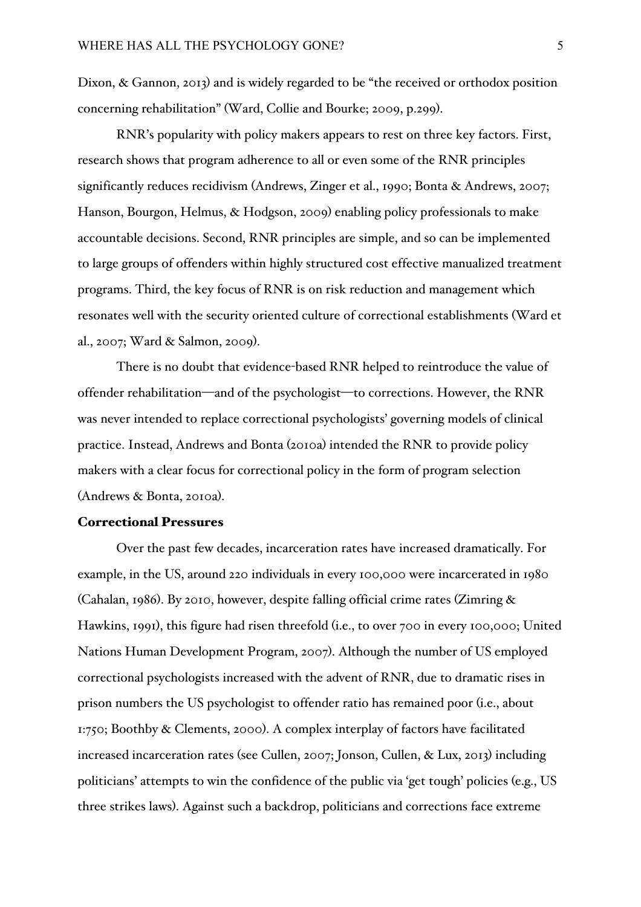Dixon, & Gannon, 2013) and is widely regarded to be "the received or orthodox position concerning rehabilitation" (Ward, Collie and Bourke; 2009, p.299).

RNR's popularity with policy makers appears to rest on three key factors. First, research shows that program adherence to all or even some of the RNR principles significantly reduces recidivism (Andrews, Zinger et al., 1990; Bonta & Andrews, 2007; Hanson, Bourgon, Helmus, & Hodgson, 2009) enabling policy professionals to make accountable decisions. Second, RNR principles are simple, and so can be implemented to large groups of offenders within highly structured cost effective manualized treatment programs. Third, the key focus of RNR is on risk reduction and management which resonates well with the security oriented culture of correctional establishments (Ward et al., 2007; Ward & Salmon, 2009).

There is no doubt that evidence-based RNR helped to reintroduce the value of offender rehabilitation—and of the psychologist—to corrections. However, the RNR was never intended to replace correctional psychologists' governing models of clinical practice. Instead, Andrews and Bonta (2010a) intended the RNR to provide policy makers with a clear focus for correctional policy in the form of program selection (Andrews & Bonta, 2010a).

#### Correctional Pressures

Over the past few decades, incarceration rates have increased dramatically. For example, in the US, around 220 individuals in every 100,000 were incarcerated in 1980 (Cahalan, 1986). By 2010, however, despite falling official crime rates (Zimring & Hawkins, 1991), this figure had risen threefold (i.e., to over 700 in every 100,000; United Nations Human Development Program, 2007). Although the number of US employed correctional psychologists increased with the advent of RNR, due to dramatic rises in prison numbers the US psychologist to offender ratio has remained poor (i.e., about 1:750; Boothby & Clements, 2000). A complex interplay of factors have facilitated increased incarceration rates (see Cullen, 2007; Jonson, Cullen, & Lux, 2013) including politicians' attempts to win the confidence of the public via 'get tough' policies (e.g., US three strikes laws). Against such a backdrop, politicians and corrections face extreme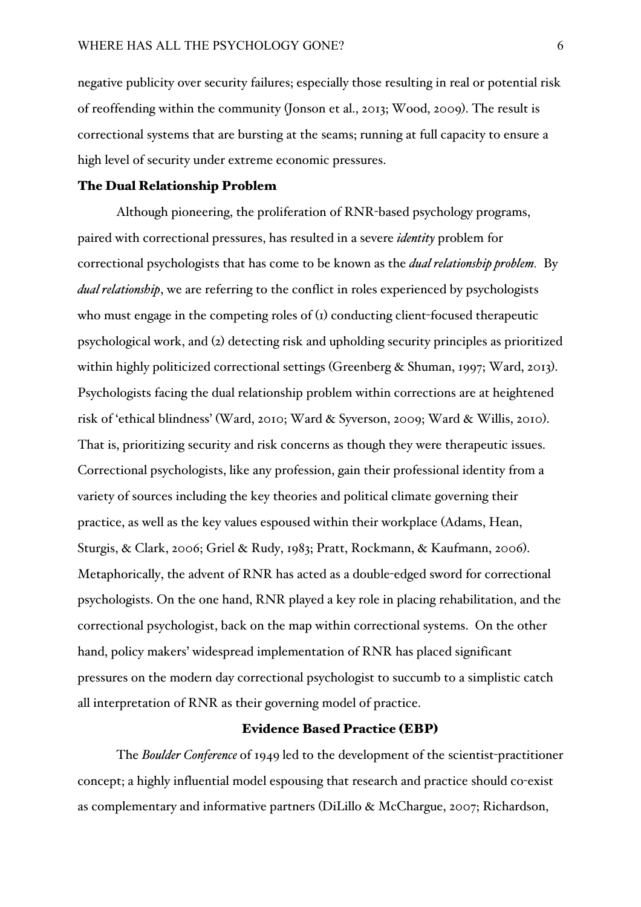negative publicity over security failures; especially those resulting in real or potential risk of reoffending within the community (Jonson et al., 2013; Wood, 2009). The result is correctional systems that are bursting at the seams; running at full capacity to ensure a high level of security under extreme economic pressures.

#### The Dual Relationship Problem

Although pioneering, the proliferation of RNR-based psychology programs, paired with correctional pressures, has resulted in a severe *identity* problem for correctional psychologists that has come to be known as the *dual relationship problem.* By *dual relationship*, we are referring to the conflict in roles experienced by psychologists who must engage in the competing roles of (1) conducting client-focused therapeutic psychological work, and (2) detecting risk and upholding security principles as prioritized within highly politicized correctional settings (Greenberg & Shuman, 1997; Ward, 2013). Psychologists facing the dual relationship problem within corrections are at heightened risk of 'ethical blindness' (Ward, 2010; Ward & Syverson, 2009; Ward & Willis, 2010). That is, prioritizing security and risk concerns as though they were therapeutic issues. Correctional psychologists, like any profession, gain their professional identity from a variety of sources including the key theories and political climate governing their practice, as well as the key values espoused within their workplace (Adams, Hean, Sturgis, & Clark, 2006; Griel & Rudy, 1983; Pratt, Rockmann, & Kaufmann, 2006). Metaphorically, the advent of RNR has acted as a double-edged sword for correctional psychologists. On the one hand, RNR played a key role in placing rehabilitation, and the correctional psychologist, back on the map within correctional systems. On the other hand, policy makers' widespread implementation of RNR has placed significant pressures on the modern day correctional psychologist to succumb to a simplistic catch all interpretation of RNR as their governing model of practice.

#### Evidence Based Practice (EBP)

The *Boulder Conference* of 1949 led to the development of the scientist-practitioner concept; a highly influential model espousing that research and practice should co-exist as complementary and informative partners (DiLillo & McChargue, 2007; Richardson,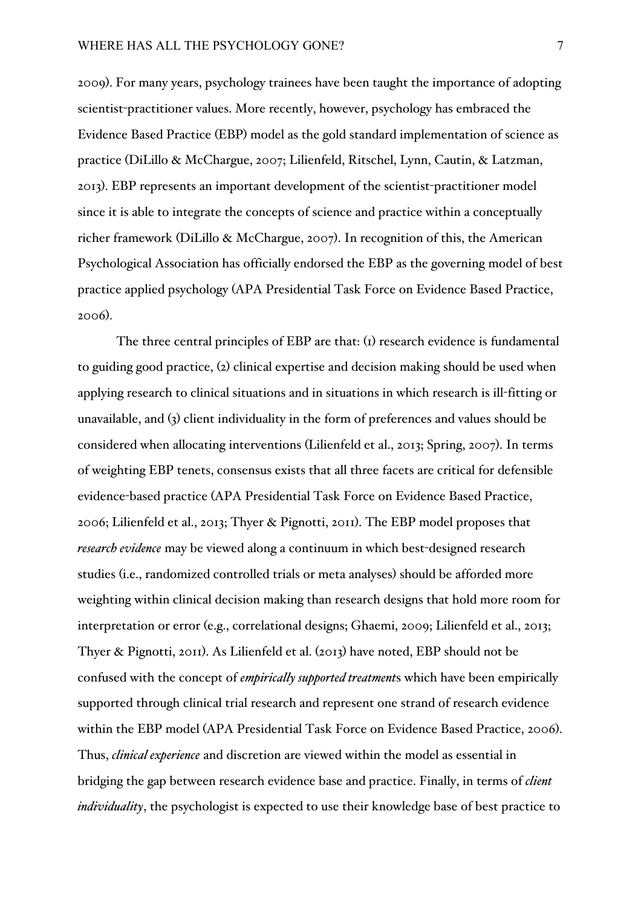2009). For many years, psychology trainees have been taught the importance of adopting scientist-practitioner values. More recently, however, psychology has embraced the Evidence Based Practice (EBP) model as the gold standard implementation of science as practice (DiLillo & McChargue, 2007; Lilienfeld, Ritschel, Lynn, Cautin, & Latzman, 2013). EBP represents an important development of the scientist-practitioner model since it is able to integrate the concepts of science and practice within a conceptually richer framework (DiLillo & McChargue, 2007). In recognition of this, the American Psychological Association has officially endorsed the EBP as the governing model of best practice applied psychology (APA Presidential Task Force on Evidence Based Practice, 2006).

The three central principles of EBP are that: (1) research evidence is fundamental to guiding good practice, (2) clinical expertise and decision making should be used when applying research to clinical situations and in situations in which research is ill-fitting or unavailable, and (3) client individuality in the form of preferences and values should be considered when allocating interventions (Lilienfeld et al., 2013; Spring, 2007). In terms of weighting EBP tenets, consensus exists that all three facets are critical for defensible evidence-based practice (APA Presidential Task Force on Evidence Based Practice, 2006; Lilienfeld et al., 2013; Thyer & Pignotti, 2011). The EBP model proposes that *research evidence* may be viewed along a continuum in which best-designed research studies (i.e., randomized controlled trials or meta analyses) should be afforded more weighting within clinical decision making than research designs that hold more room for interpretation or error (e.g., correlational designs; Ghaemi, 2009; Lilienfeld et al., 2013; Thyer & Pignotti, 2011). As Lilienfeld et al. (2013) have noted, EBP should not be confused with the concept of *empirically supported treatment*s which have been empirically supported through clinical trial research and represent one strand of research evidence within the EBP model (APA Presidential Task Force on Evidence Based Practice, 2006). Thus, *clinical experience* and discretion are viewed within the model as essential in bridging the gap between research evidence base and practice. Finally, in terms of *client individuality*, the psychologist is expected to use their knowledge base of best practice to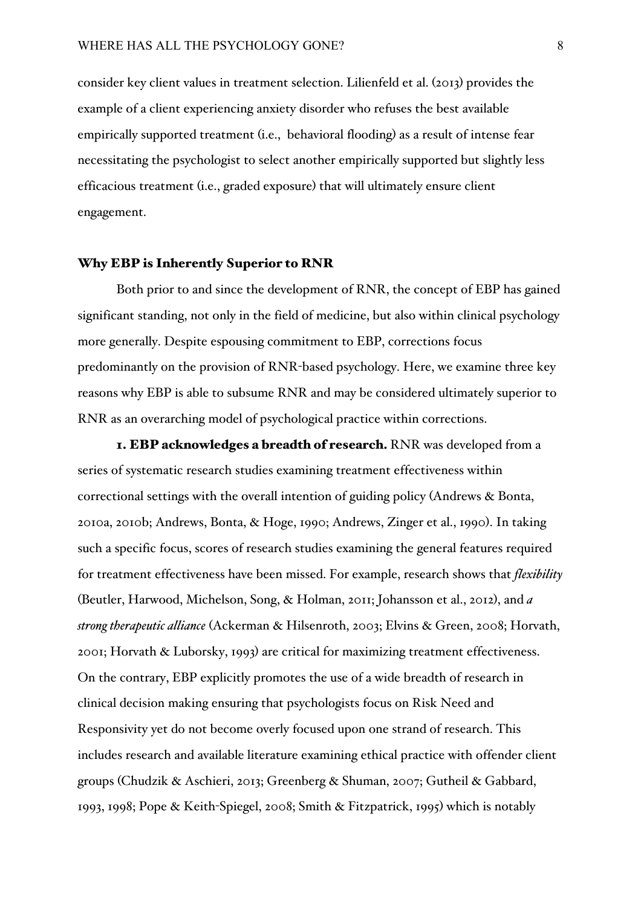consider key client values in treatment selection. Lilienfeld et al. (2013) provides the example of a client experiencing anxiety disorder who refuses the best available empirically supported treatment (i.e., behavioral flooding) as a result of intense fear necessitating the psychologist to select another empirically supported but slightly less efficacious treatment (i.e., graded exposure) that will ultimately ensure client engagement.

#### Why EBP is Inherently Superior to RNR

Both prior to and since the development of RNR, the concept of EBP has gained significant standing, not only in the field of medicine, but also within clinical psychology more generally. Despite espousing commitment to EBP, corrections focus predominantly on the provision of RNR-based psychology. Here, we examine three key reasons why EBP is able to subsume RNR and may be considered ultimately superior to RNR as an overarching model of psychological practice within corrections.

**1. EBP acknowledges a breadth of research.** RNR was developed from a series of systematic research studies examining treatment effectiveness within correctional settings with the overall intention of guiding policy (Andrews & Bonta, 2010a, 2010b; Andrews, Bonta, & Hoge, 1990; Andrews, Zinger et al., 1990). In taking such a specific focus, scores of research studies examining the general features required for treatment effectiveness have been missed. For example, research shows that *flexibility* (Beutler, Harwood, Michelson, Song, & Holman, 2011; Johansson et al., 2012), and *a strong therapeutic alliance* (Ackerman & Hilsenroth, 2003; Elvins & Green, 2008; Horvath, 2001; Horvath & Luborsky, 1993) are critical for maximizing treatment effectiveness. On the contrary, EBP explicitly promotes the use of a wide breadth of research in clinical decision making ensuring that psychologists focus on Risk Need and Responsivity yet do not become overly focused upon one strand of research. This includes research and available literature examining ethical practice with offender client groups (Chudzik & Aschieri, 2013; Greenberg & Shuman, 2007; Gutheil & Gabbard, 1993, 1998; Pope & Keith-Spiegel, 2008; Smith & Fitzpatrick, 1995) which is notably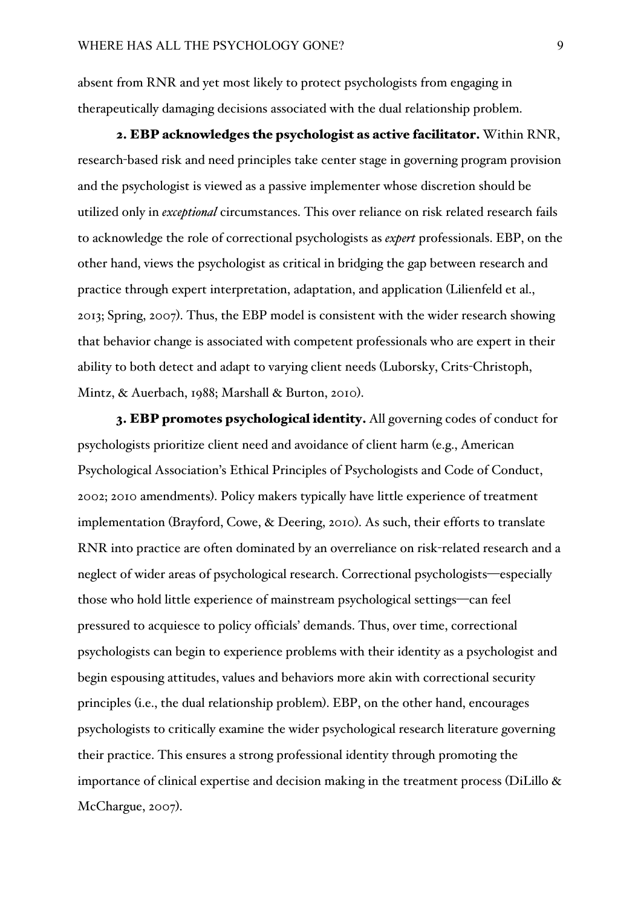absent from RNR and yet most likely to protect psychologists from engaging in therapeutically damaging decisions associated with the dual relationship problem.

2. EBP acknowledges the psychologist as active facilitator. Within RNR, research-based risk and need principles take center stage in governing program provision and the psychologist is viewed as a passive implementer whose discretion should be utilized only in *exceptional* circumstances. This over reliance on risk related research fails to acknowledge the role of correctional psychologists as *expert* professionals. EBP, on the other hand, views the psychologist as critical in bridging the gap between research and practice through expert interpretation, adaptation, and application (Lilienfeld et al., 2013; Spring, 2007). Thus, the EBP model is consistent with the wider research showing that behavior change is associated with competent professionals who are expert in their ability to both detect and adapt to varying client needs (Luborsky, Crits-Christoph, Mintz, & Auerbach, 1988; Marshall & Burton, 2010).

3. EBP promotes psychological identity. All governing codes of conduct for psychologists prioritize client need and avoidance of client harm (e.g., American Psychological Association's Ethical Principles of Psychologists and Code of Conduct, 2002; 2010 amendments). Policy makers typically have little experience of treatment implementation (Brayford, Cowe, & Deering, 2010). As such, their efforts to translate RNR into practice are often dominated by an overreliance on risk-related research and a neglect of wider areas of psychological research. Correctional psychologists—especially those who hold little experience of mainstream psychological settings—can feel pressured to acquiesce to policy officials' demands. Thus, over time, correctional psychologists can begin to experience problems with their identity as a psychologist and begin espousing attitudes, values and behaviors more akin with correctional security principles (i.e., the dual relationship problem). EBP, on the other hand, encourages psychologists to critically examine the wider psychological research literature governing their practice. This ensures a strong professional identity through promoting the importance of clinical expertise and decision making in the treatment process (DiLillo & McChargue, 2007).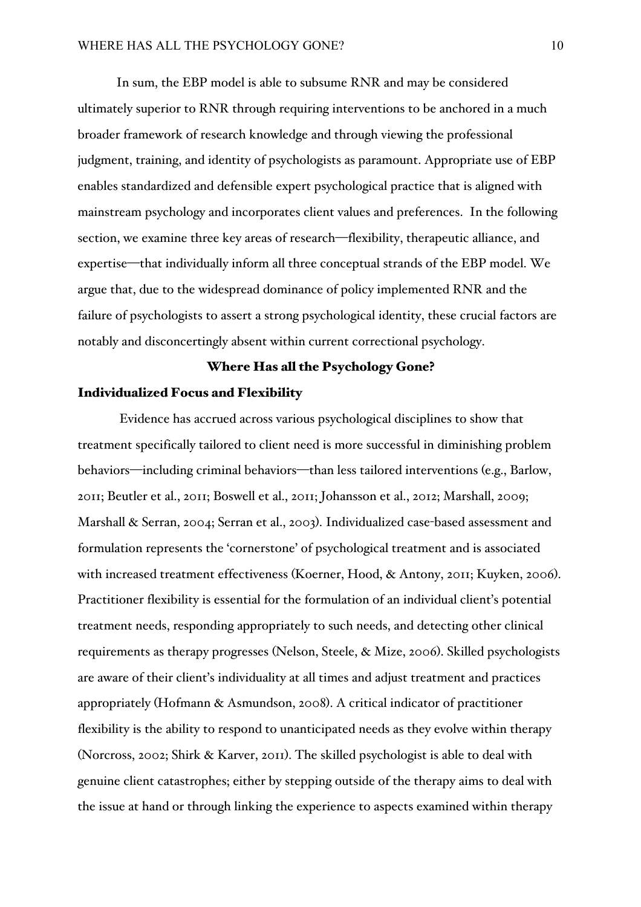In sum, the EBP model is able to subsume RNR and may be considered ultimately superior to RNR through requiring interventions to be anchored in a much broader framework of research knowledge and through viewing the professional judgment, training, and identity of psychologists as paramount. Appropriate use of EBP enables standardized and defensible expert psychological practice that is aligned with mainstream psychology and incorporates client values and preferences. In the following section, we examine three key areas of research—flexibility, therapeutic alliance, and expertise—that individually inform all three conceptual strands of the EBP model. We argue that, due to the widespread dominance of policy implemented RNR and the failure of psychologists to assert a strong psychological identity, these crucial factors are notably and disconcertingly absent within current correctional psychology.

#### Where Has all the Psychology Gone?

#### Individualized Focus and Flexibility

Evidence has accrued across various psychological disciplines to show that treatment specifically tailored to client need is more successful in diminishing problem behaviors—including criminal behaviors—than less tailored interventions (e.g., Barlow, 2011; Beutler et al., 2011; Boswell et al., 2011; Johansson et al., 2012; Marshall, 2009; Marshall & Serran, 2004; Serran et al., 2003). Individualized case-based assessment and formulation represents the 'cornerstone' of psychological treatment and is associated with increased treatment effectiveness (Koerner, Hood, & Antony, 2011; Kuyken, 2006). Practitioner flexibility is essential for the formulation of an individual client's potential treatment needs, responding appropriately to such needs, and detecting other clinical requirements as therapy progresses (Nelson, Steele, & Mize, 2006). Skilled psychologists are aware of their client's individuality at all times and adjust treatment and practices appropriately (Hofmann & Asmundson, 2008). A critical indicator of practitioner flexibility is the ability to respond to unanticipated needs as they evolve within therapy (Norcross, 2002; Shirk & Karver, 2011). The skilled psychologist is able to deal with genuine client catastrophes; either by stepping outside of the therapy aims to deal with the issue at hand or through linking the experience to aspects examined within therapy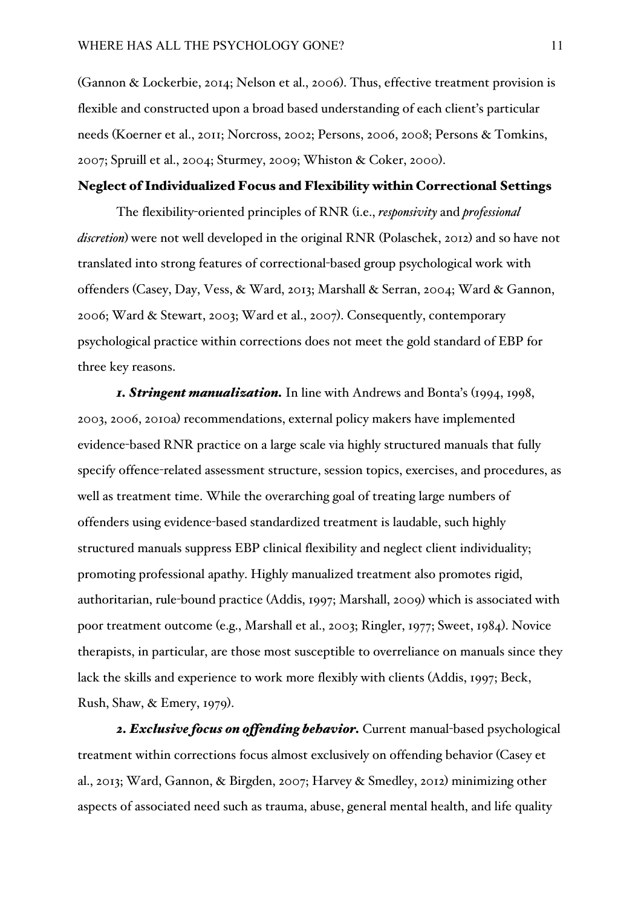(Gannon & Lockerbie, 2014; Nelson et al., 2006). Thus, effective treatment provision is flexible and constructed upon a broad based understanding of each client's particular needs (Koerner et al., 2011; Norcross, 2002; Persons, 2006, 2008; Persons & Tomkins, 2007; Spruill et al., 2004; Sturmey, 2009; Whiston & Coker, 2000).

#### Neglect of Individualized Focus and Flexibility within Correctional Settings

The flexibility-oriented principles of RNR (i.e., *responsivity* and *professional discretion*) were not well developed in the original RNR (Polaschek, 2012) and so have not translated into strong features of correctional-based group psychological work with offenders (Casey, Day, Vess, & Ward, 2013; Marshall & Serran, 2004; Ward & Gannon, 2006; Ward & Stewart, 2003; Ward et al., 2007). Consequently, contemporary psychological practice within corrections does not meet the gold standard of EBP for three key reasons.

*1. Stringent manualization.* In line with Andrews and Bonta's (1994, 1998, 2003, 2006, 2010a) recommendations, external policy makers have implemented evidence-based RNR practice on a large scale via highly structured manuals that fully specify offence-related assessment structure, session topics, exercises, and procedures, as well as treatment time. While the overarching goal of treating large numbers of offenders using evidence-based standardized treatment is laudable, such highly structured manuals suppress EBP clinical flexibility and neglect client individuality; promoting professional apathy. Highly manualized treatment also promotes rigid, authoritarian, rule-bound practice (Addis, 1997; Marshall, 2009) which is associated with poor treatment outcome (e.g., Marshall et al., 2003; Ringler, 1977; Sweet, 1984). Novice therapists, in particular, are those most susceptible to overreliance on manuals since they lack the skills and experience to work more flexibly with clients (Addis, 1997; Beck, Rush, Shaw, & Emery, 1979).

*2. Exclusive focus on offending behavior.* Current manual-based psychological treatment within corrections focus almost exclusively on offending behavior (Casey et al., 2013; Ward, Gannon, & Birgden, 2007; Harvey & Smedley, 2012) minimizing other aspects of associated need such as trauma, abuse, general mental health, and life quality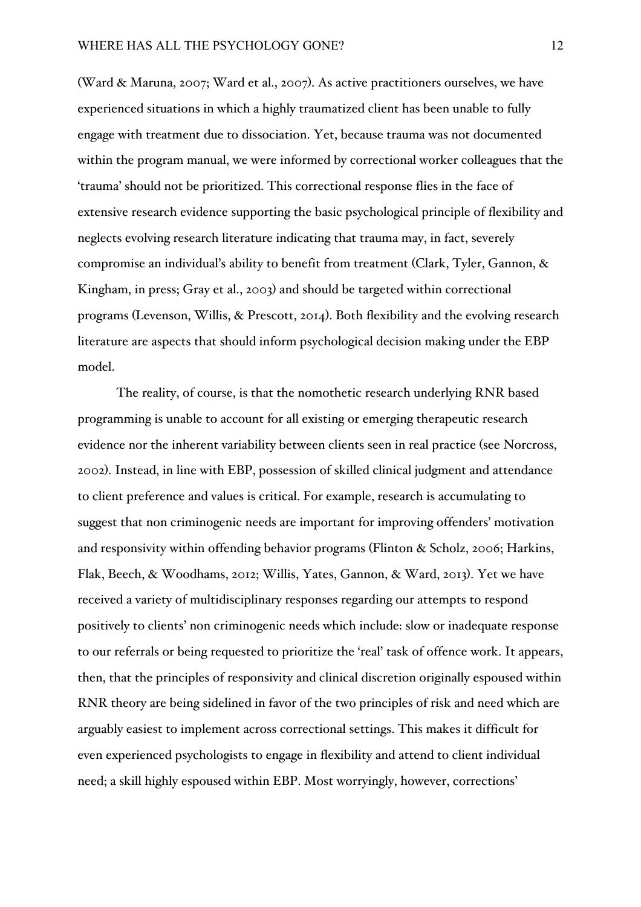(Ward & Maruna, 2007; Ward et al., 2007). As active practitioners ourselves, we have experienced situations in which a highly traumatized client has been unable to fully engage with treatment due to dissociation. Yet, because trauma was not documented within the program manual, we were informed by correctional worker colleagues that the 'trauma' should not be prioritized. This correctional response flies in the face of extensive research evidence supporting the basic psychological principle of flexibility and neglects evolving research literature indicating that trauma may, in fact, severely compromise an individual's ability to benefit from treatment (Clark, Tyler, Gannon, & Kingham, in press; Gray et al., 2003) and should be targeted within correctional programs (Levenson, Willis, & Prescott, 2014). Both flexibility and the evolving research literature are aspects that should inform psychological decision making under the EBP model.

The reality, of course, is that the nomothetic research underlying RNR based programming is unable to account for all existing or emerging therapeutic research evidence nor the inherent variability between clients seen in real practice (see Norcross, 2002). Instead, in line with EBP, possession of skilled clinical judgment and attendance to client preference and values is critical. For example, research is accumulating to suggest that non criminogenic needs are important for improving offenders' motivation and responsivity within offending behavior programs (Flinton & Scholz, 2006; Harkins, Flak, Beech, & Woodhams, 2012; Willis, Yates, Gannon, & Ward, 2013). Yet we have received a variety of multidisciplinary responses regarding our attempts to respond positively to clients' non criminogenic needs which include: slow or inadequate response to our referrals or being requested to prioritize the 'real' task of offence work. It appears, then, that the principles of responsivity and clinical discretion originally espoused within RNR theory are being sidelined in favor of the two principles of risk and need which are arguably easiest to implement across correctional settings. This makes it difficult for even experienced psychologists to engage in flexibility and attend to client individual need; a skill highly espoused within EBP. Most worryingly, however, corrections'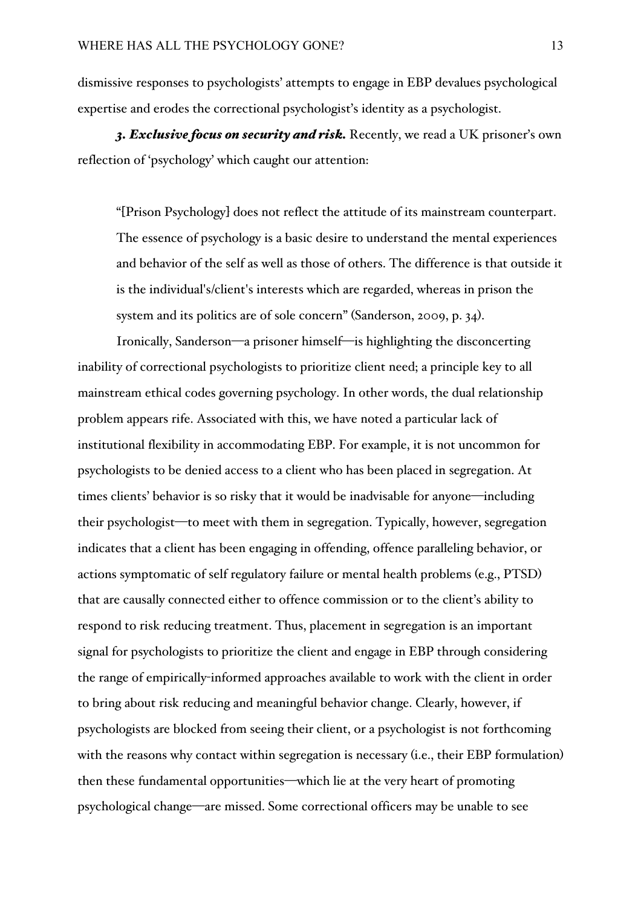dismissive responses to psychologists' attempts to engage in EBP devalues psychological expertise and erodes the correctional psychologist's identity as a psychologist.

*3. Exclusive focus on security and risk.* Recently, we read a UK prisoner's own reflection of 'psychology' which caught our attention:

"[Prison Psychology] does not reflect the attitude of its mainstream counterpart. The essence of psychology is a basic desire to understand the mental experiences and behavior of the self as well as those of others. The difference is that outside it is the individual's/client's interests which are regarded, whereas in prison the system and its politics are of sole concern" (Sanderson, 2009, p. 34).

Ironically, Sanderson—a prisoner himself—is highlighting the disconcerting inability of correctional psychologists to prioritize client need; a principle key to all mainstream ethical codes governing psychology. In other words, the dual relationship problem appears rife. Associated with this, we have noted a particular lack of institutional flexibility in accommodating EBP. For example, it is not uncommon for psychologists to be denied access to a client who has been placed in segregation. At times clients' behavior is so risky that it would be inadvisable for anyone—including their psychologist—to meet with them in segregation. Typically, however, segregation indicates that a client has been engaging in offending, offence paralleling behavior, or actions symptomatic of self regulatory failure or mental health problems (e.g., PTSD) that are causally connected either to offence commission or to the client's ability to respond to risk reducing treatment. Thus, placement in segregation is an important signal for psychologists to prioritize the client and engage in EBP through considering the range of empirically-informed approaches available to work with the client in order to bring about risk reducing and meaningful behavior change. Clearly, however, if psychologists are blocked from seeing their client, or a psychologist is not forthcoming with the reasons why contact within segregation is necessary (i.e., their EBP formulation) then these fundamental opportunities—which lie at the very heart of promoting psychological change—are missed. Some correctional officers may be unable to see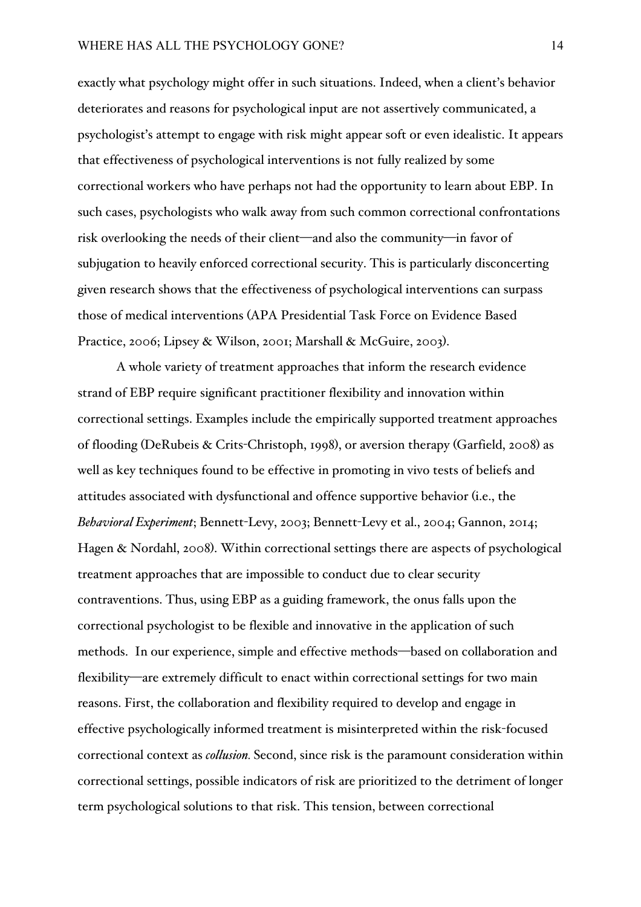exactly what psychology might offer in such situations. Indeed, when a client's behavior deteriorates and reasons for psychological input are not assertively communicated, a psychologist's attempt to engage with risk might appear soft or even idealistic. It appears that effectiveness of psychological interventions is not fully realized by some correctional workers who have perhaps not had the opportunity to learn about EBP. In such cases, psychologists who walk away from such common correctional confrontations risk overlooking the needs of their client—and also the community—in favor of subjugation to heavily enforced correctional security. This is particularly disconcerting given research shows that the effectiveness of psychological interventions can surpass those of medical interventions (APA Presidential Task Force on Evidence Based Practice, 2006; Lipsey & Wilson, 2001; Marshall & McGuire, 2003).

A whole variety of treatment approaches that inform the research evidence strand of EBP require significant practitioner flexibility and innovation within correctional settings. Examples include the empirically supported treatment approaches of flooding (DeRubeis & Crits-Christoph, 1998), or aversion therapy (Garfield, 2008) as well as key techniques found to be effective in promoting in vivo tests of beliefs and attitudes associated with dysfunctional and offence supportive behavior (i.e., the *Behavioral Experiment*; Bennett-Levy, 2003; Bennett-Levy et al., 2004; Gannon, 2014; Hagen & Nordahl, 2008). Within correctional settings there are aspects of psychological treatment approaches that are impossible to conduct due to clear security contraventions. Thus, using EBP as a guiding framework, the onus falls upon the correctional psychologist to be flexible and innovative in the application of such methods. In our experience, simple and effective methods—based on collaboration and flexibility—are extremely difficult to enact within correctional settings for two main reasons. First, the collaboration and flexibility required to develop and engage in effective psychologically informed treatment is misinterpreted within the risk-focused correctional context as *collusion.* Second, since risk is the paramount consideration within correctional settings, possible indicators of risk are prioritized to the detriment of longer term psychological solutions to that risk. This tension, between correctional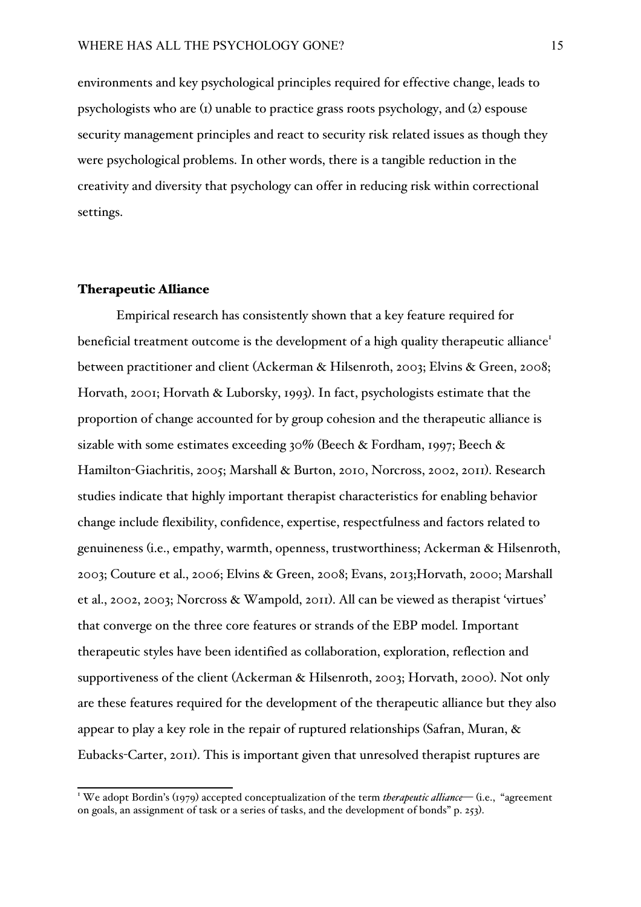environments and key psychological principles required for effective change, leads to psychologists who are (1) unable to practice grass roots psychology, and (2) espouse security management principles and react to security risk related issues as though they were psychological problems. In other words, there is a tangible reduction in the creativity and diversity that psychology can offer in reducing risk within correctional settings.

#### Therapeutic Alliance

!!!!!!!!!!!!!!!!!!!!!!!!!!!!!!!!!!!!!!!!!!!!!!!!!!!!!!!!!!!!

Empirical research has consistently shown that a key feature required for beneficial treatment outcome is the development of a high quality therapeutic alliance<sup>1</sup> between practitioner and client (Ackerman & Hilsenroth, 2003; Elvins & Green, 2008; Horvath, 2001; Horvath & Luborsky, 1993). In fact, psychologists estimate that the proportion of change accounted for by group cohesion and the therapeutic alliance is sizable with some estimates exceeding 30% (Beech & Fordham, 1997; Beech & Hamilton-Giachritis, 2005; Marshall & Burton, 2010, Norcross, 2002, 2011). Research studies indicate that highly important therapist characteristics for enabling behavior change include flexibility, confidence, expertise, respectfulness and factors related to genuineness (i.e., empathy, warmth, openness, trustworthiness; Ackerman & Hilsenroth, 2003; Couture et al., 2006; Elvins & Green, 2008; Evans, 2013;Horvath, 2000; Marshall et al., 2002, 2003; Norcross & Wampold, 2011). All can be viewed as therapist 'virtues' that converge on the three core features or strands of the EBP model. Important therapeutic styles have been identified as collaboration, exploration, reflection and supportiveness of the client (Ackerman & Hilsenroth, 2003; Horvath, 2000). Not only are these features required for the development of the therapeutic alliance but they also appear to play a key role in the repair of ruptured relationships (Safran, Muran, & Eubacks-Carter, 2011). This is important given that unresolved therapist ruptures are

<sup>1</sup> We adopt Bordin's (1979) accepted conceptualization of the term *therapeutic alliance*— (i.e., "agreement on goals, an assignment of task or a series of tasks, and the development of bonds" p. 253).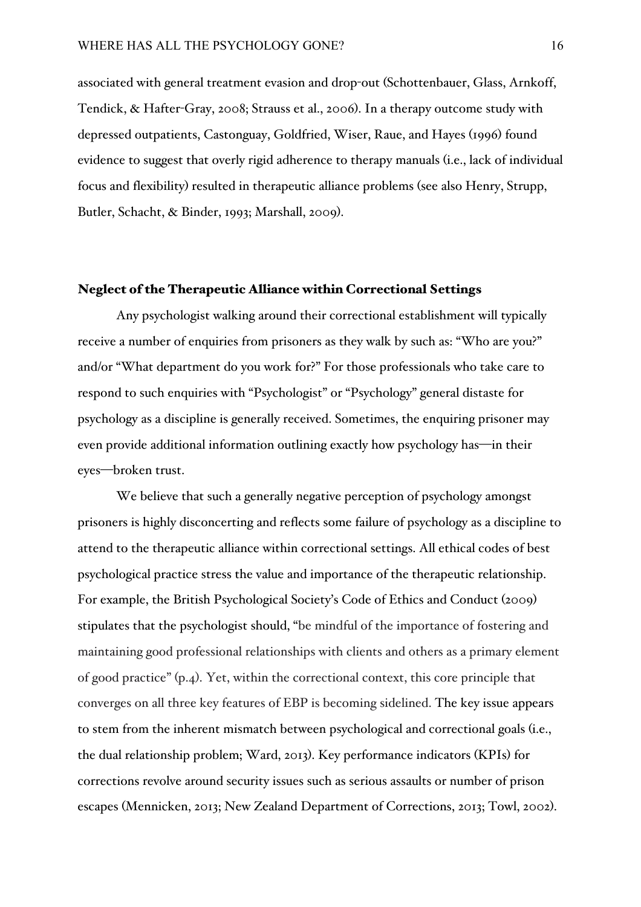associated with general treatment evasion and drop-out (Schottenbauer, Glass, Arnkoff, Tendick, & Hafter-Gray, 2008; Strauss et al., 2006). In a therapy outcome study with depressed outpatients, Castonguay, Goldfried, Wiser, Raue, and Hayes (1996) found evidence to suggest that overly rigid adherence to therapy manuals (i.e., lack of individual focus and flexibility) resulted in therapeutic alliance problems (see also Henry, Strupp, Butler, Schacht, & Binder, 1993; Marshall, 2009).

#### Neglect of the Therapeutic Alliance within Correctional Settings

Any psychologist walking around their correctional establishment will typically receive a number of enquiries from prisoners as they walk by such as: "Who are you?" and/or "What department do you work for?" For those professionals who take care to respond to such enquiries with "Psychologist" or "Psychology" general distaste for psychology as a discipline is generally received. Sometimes, the enquiring prisoner may even provide additional information outlining exactly how psychology has—in their eyes—broken trust.

We believe that such a generally negative perception of psychology amongst prisoners is highly disconcerting and reflects some failure of psychology as a discipline to attend to the therapeutic alliance within correctional settings. All ethical codes of best psychological practice stress the value and importance of the therapeutic relationship. For example, the British Psychological Society's Code of Ethics and Conduct (2009) stipulates that the psychologist should, "be mindful of the importance of fostering and maintaining good professional relationships with clients and others as a primary element of good practice" (p.4). Yet, within the correctional context, this core principle that converges on all three key features of EBP is becoming sidelined. The key issue appears to stem from the inherent mismatch between psychological and correctional goals (i.e., the dual relationship problem; Ward, 2013). Key performance indicators (KPIs) for corrections revolve around security issues such as serious assaults or number of prison escapes (Mennicken, 2013; New Zealand Department of Corrections, 2013; Towl, 2002).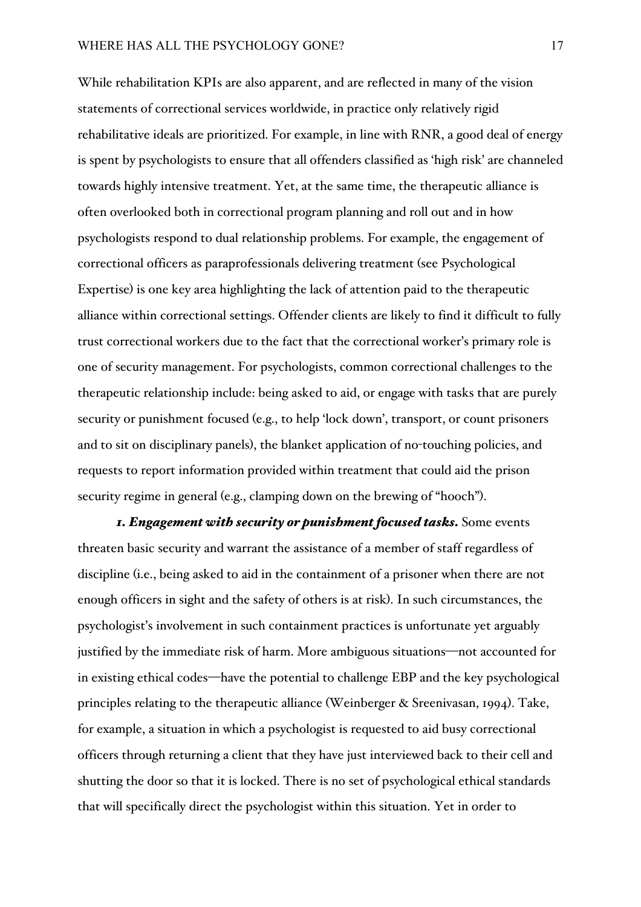While rehabilitation KPIs are also apparent, and are reflected in many of the vision statements of correctional services worldwide, in practice only relatively rigid rehabilitative ideals are prioritized. For example, in line with RNR, a good deal of energy is spent by psychologists to ensure that all offenders classified as 'high risk' are channeled towards highly intensive treatment. Yet, at the same time, the therapeutic alliance is often overlooked both in correctional program planning and roll out and in how psychologists respond to dual relationship problems. For example, the engagement of correctional officers as paraprofessionals delivering treatment (see Psychological Expertise) is one key area highlighting the lack of attention paid to the therapeutic alliance within correctional settings. Offender clients are likely to find it difficult to fully trust correctional workers due to the fact that the correctional worker's primary role is one of security management. For psychologists, common correctional challenges to the therapeutic relationship include: being asked to aid, or engage with tasks that are purely security or punishment focused (e.g., to help 'lock down', transport, or count prisoners and to sit on disciplinary panels), the blanket application of no-touching policies, and requests to report information provided within treatment that could aid the prison security regime in general (e.g., clamping down on the brewing of "hooch").

*1. Engagement with security or punishment focused tasks.* Some events threaten basic security and warrant the assistance of a member of staff regardless of discipline (i.e., being asked to aid in the containment of a prisoner when there are not enough officers in sight and the safety of others is at risk). In such circumstances, the psychologist's involvement in such containment practices is unfortunate yet arguably justified by the immediate risk of harm. More ambiguous situations—not accounted for in existing ethical codes—have the potential to challenge EBP and the key psychological principles relating to the therapeutic alliance (Weinberger & Sreenivasan, 1994). Take, for example, a situation in which a psychologist is requested to aid busy correctional officers through returning a client that they have just interviewed back to their cell and shutting the door so that it is locked. There is no set of psychological ethical standards that will specifically direct the psychologist within this situation. Yet in order to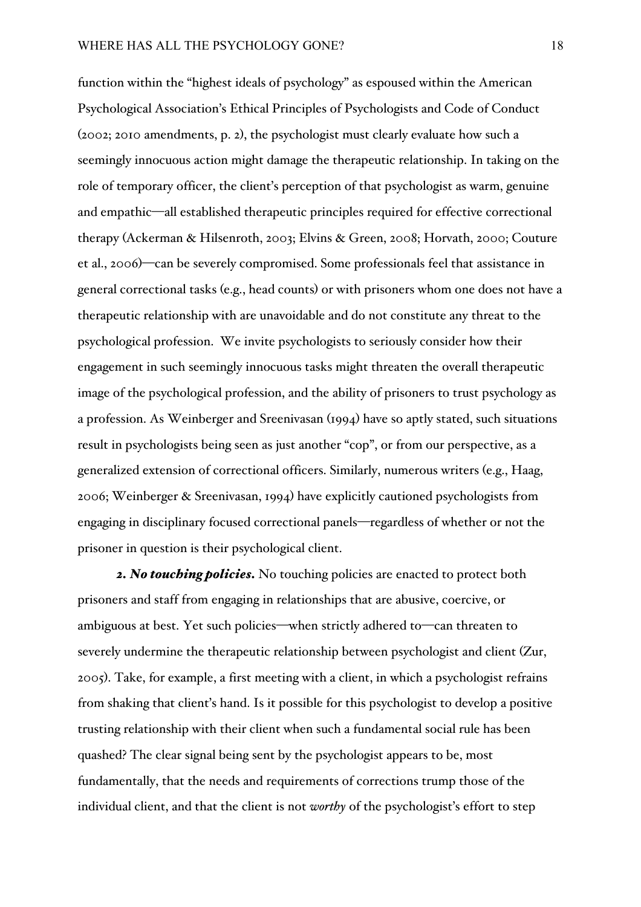function within the "highest ideals of psychology" as espoused within the American Psychological Association's Ethical Principles of Psychologists and Code of Conduct (2002; 2010 amendments, p. 2), the psychologist must clearly evaluate how such a seemingly innocuous action might damage the therapeutic relationship. In taking on the role of temporary officer, the client's perception of that psychologist as warm, genuine and empathic—all established therapeutic principles required for effective correctional therapy (Ackerman & Hilsenroth, 2003; Elvins & Green, 2008; Horvath, 2000; Couture et al., 2006)—can be severely compromised. Some professionals feel that assistance in general correctional tasks (e.g., head counts) or with prisoners whom one does not have a therapeutic relationship with are unavoidable and do not constitute any threat to the psychological profession. We invite psychologists to seriously consider how their engagement in such seemingly innocuous tasks might threaten the overall therapeutic image of the psychological profession, and the ability of prisoners to trust psychology as a profession. As Weinberger and Sreenivasan (1994) have so aptly stated, such situations result in psychologists being seen as just another "cop", or from our perspective, as a generalized extension of correctional officers. Similarly, numerous writers (e.g., Haag, 2006; Weinberger & Sreenivasan, 1994) have explicitly cautioned psychologists from engaging in disciplinary focused correctional panels—regardless of whether or not the prisoner in question is their psychological client.

**2. No touching policies.** No touching policies are enacted to protect both prisoners and staff from engaging in relationships that are abusive, coercive, or ambiguous at best. Yet such policies—when strictly adhered to—can threaten to severely undermine the therapeutic relationship between psychologist and client (Zur, 2005). Take, for example, a first meeting with a client, in which a psychologist refrains from shaking that client's hand. Is it possible for this psychologist to develop a positive trusting relationship with their client when such a fundamental social rule has been quashed? The clear signal being sent by the psychologist appears to be, most fundamentally, that the needs and requirements of corrections trump those of the individual client, and that the client is not *worthy* of the psychologist's effort to step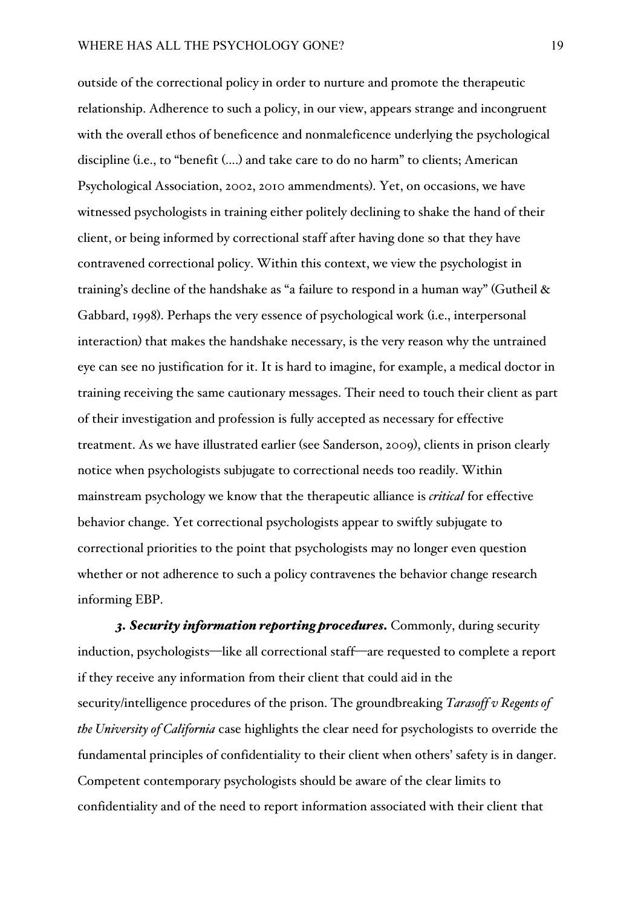outside of the correctional policy in order to nurture and promote the therapeutic relationship. Adherence to such a policy, in our view, appears strange and incongruent with the overall ethos of beneficence and nonmaleficence underlying the psychological discipline (i.e., to "benefit (….) and take care to do no harm" to clients; American Psychological Association, 2002, 2010 ammendments). Yet, on occasions, we have witnessed psychologists in training either politely declining to shake the hand of their client, or being informed by correctional staff after having done so that they have contravened correctional policy. Within this context, we view the psychologist in training's decline of the handshake as "a failure to respond in a human way" (Gutheil  $\&$ Gabbard, 1998). Perhaps the very essence of psychological work (i.e., interpersonal interaction) that makes the handshake necessary, is the very reason why the untrained eye can see no justification for it. It is hard to imagine, for example, a medical doctor in training receiving the same cautionary messages. Their need to touch their client as part of their investigation and profession is fully accepted as necessary for effective treatment. As we have illustrated earlier (see Sanderson, 2009), clients in prison clearly notice when psychologists subjugate to correctional needs too readily. Within mainstream psychology we know that the therapeutic alliance is *critical* for effective behavior change. Yet correctional psychologists appear to swiftly subjugate to correctional priorities to the point that psychologists may no longer even question whether or not adherence to such a policy contravenes the behavior change research informing EBP.

*3. Security information reporting procedures.* Commonly, during security induction, psychologists—like all correctional staff—are requested to complete a report if they receive any information from their client that could aid in the security/intelligence procedures of the prison. The groundbreaking *Tarasoff v Regents of the University of California* case highlights the clear need for psychologists to override the fundamental principles of confidentiality to their client when others' safety is in danger. Competent contemporary psychologists should be aware of the clear limits to confidentiality and of the need to report information associated with their client that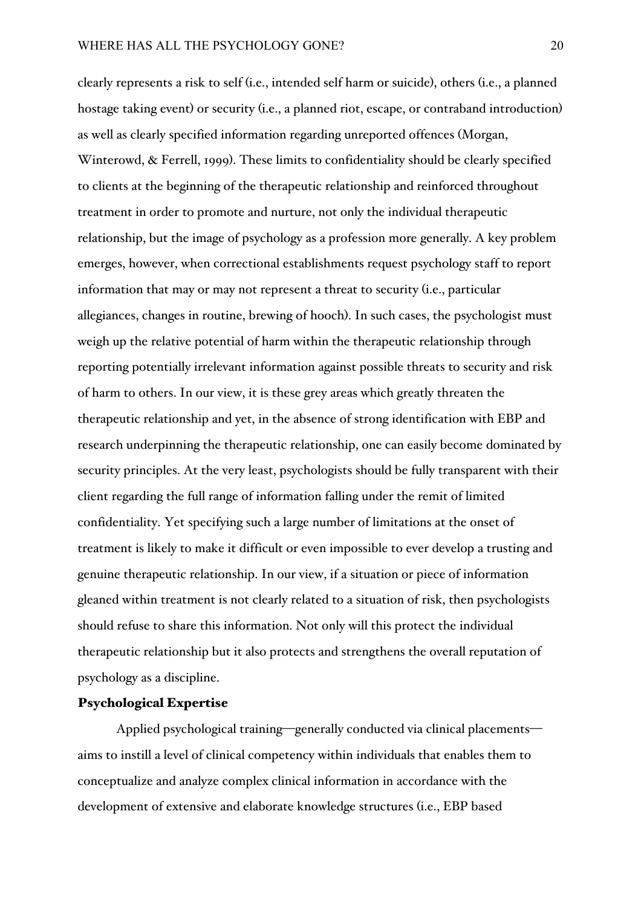clearly represents a risk to self (i.e., intended self harm or suicide), others (i.e., a planned hostage taking event) or security (i.e., a planned riot, escape, or contraband introduction) as well as clearly specified information regarding unreported offences (Morgan, Winterowd, & Ferrell, 1999). These limits to confidentiality should be clearly specified to clients at the beginning of the therapeutic relationship and reinforced throughout treatment in order to promote and nurture, not only the individual therapeutic relationship, but the image of psychology as a profession more generally. A key problem emerges, however, when correctional establishments request psychology staff to report information that may or may not represent a threat to security (i.e., particular allegiances, changes in routine, brewing of hooch). In such cases, the psychologist must weigh up the relative potential of harm within the therapeutic relationship through reporting potentially irrelevant information against possible threats to security and risk of harm to others. In our view, it is these grey areas which greatly threaten the therapeutic relationship and yet, in the absence of strong identification with EBP and research underpinning the therapeutic relationship, one can easily become dominated by security principles. At the very least, psychologists should be fully transparent with their client regarding the full range of information falling under the remit of limited confidentiality. Yet specifying such a large number of limitations at the onset of treatment is likely to make it difficult or even impossible to ever develop a trusting and genuine therapeutic relationship. In our view, if a situation or piece of information gleaned within treatment is not clearly related to a situation of risk, then psychologists should refuse to share this information. Not only will this protect the individual therapeutic relationship but it also protects and strengthens the overall reputation of psychology as a discipline.

#### Psychological Expertise

Applied psychological training—generally conducted via clinical placements aims to instill a level of clinical competency within individuals that enables them to conceptualize and analyze complex clinical information in accordance with the development of extensive and elaborate knowledge structures (i.e., EBP based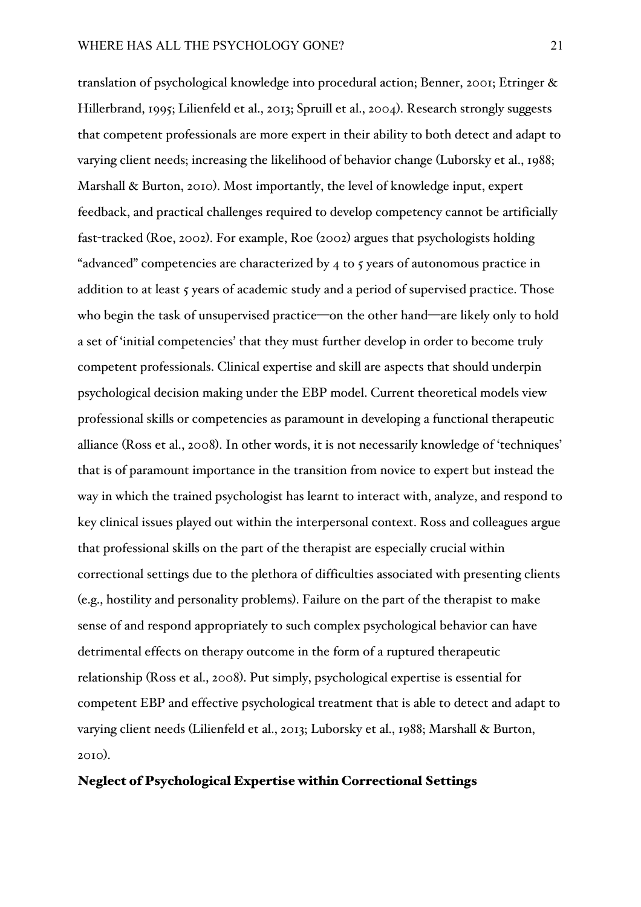translation of psychological knowledge into procedural action; Benner, 2001; Etringer & Hillerbrand, 1995; Lilienfeld et al., 2013; Spruill et al., 2004). Research strongly suggests that competent professionals are more expert in their ability to both detect and adapt to varying client needs; increasing the likelihood of behavior change (Luborsky et al., 1988; Marshall & Burton, 2010). Most importantly, the level of knowledge input, expert feedback, and practical challenges required to develop competency cannot be artificially fast-tracked (Roe, 2002). For example, Roe (2002) argues that psychologists holding "advanced" competencies are characterized by 4 to 5 years of autonomous practice in addition to at least 5 years of academic study and a period of supervised practice. Those who begin the task of unsupervised practice—on the other hand—are likely only to hold a set of 'initial competencies' that they must further develop in order to become truly competent professionals. Clinical expertise and skill are aspects that should underpin psychological decision making under the EBP model. Current theoretical models view professional skills or competencies as paramount in developing a functional therapeutic alliance (Ross et al., 2008). In other words, it is not necessarily knowledge of 'techniques' that is of paramount importance in the transition from novice to expert but instead the way in which the trained psychologist has learnt to interact with, analyze, and respond to key clinical issues played out within the interpersonal context. Ross and colleagues argue that professional skills on the part of the therapist are especially crucial within correctional settings due to the plethora of difficulties associated with presenting clients (e.g., hostility and personality problems). Failure on the part of the therapist to make sense of and respond appropriately to such complex psychological behavior can have detrimental effects on therapy outcome in the form of a ruptured therapeutic relationship (Ross et al., 2008). Put simply, psychological expertise is essential for competent EBP and effective psychological treatment that is able to detect and adapt to varying client needs (Lilienfeld et al., 2013; Luborsky et al., 1988; Marshall & Burton, 2010).

#### Neglect of Psychological Expertise within Correctional Settings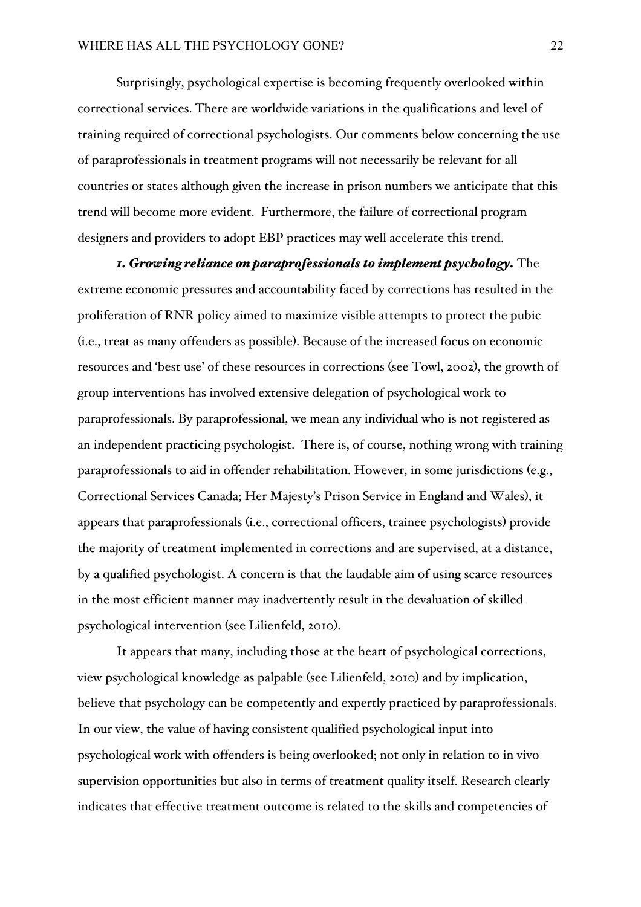Surprisingly, psychological expertise is becoming frequently overlooked within correctional services. There are worldwide variations in the qualifications and level of training required of correctional psychologists. Our comments below concerning the use of paraprofessionals in treatment programs will not necessarily be relevant for all countries or states although given the increase in prison numbers we anticipate that this trend will become more evident. Furthermore, the failure of correctional program designers and providers to adopt EBP practices may well accelerate this trend.

*1. Growing reliance on paraprofessionals to implement psychology.* The extreme economic pressures and accountability faced by corrections has resulted in the proliferation of RNR policy aimed to maximize visible attempts to protect the pubic (i.e., treat as many offenders as possible). Because of the increased focus on economic resources and 'best use' of these resources in corrections (see Towl, 2002), the growth of group interventions has involved extensive delegation of psychological work to paraprofessionals. By paraprofessional, we mean any individual who is not registered as an independent practicing psychologist. There is, of course, nothing wrong with training paraprofessionals to aid in offender rehabilitation. However, in some jurisdictions (e.g., Correctional Services Canada; Her Majesty's Prison Service in England and Wales), it appears that paraprofessionals (i.e., correctional officers, trainee psychologists) provide the majority of treatment implemented in corrections and are supervised, at a distance, by a qualified psychologist. A concern is that the laudable aim of using scarce resources in the most efficient manner may inadvertently result in the devaluation of skilled psychological intervention (see Lilienfeld, 2010).

It appears that many, including those at the heart of psychological corrections, view psychological knowledge as palpable (see Lilienfeld, 2010) and by implication, believe that psychology can be competently and expertly practiced by paraprofessionals. In our view, the value of having consistent qualified psychological input into psychological work with offenders is being overlooked; not only in relation to in vivo supervision opportunities but also in terms of treatment quality itself. Research clearly indicates that effective treatment outcome is related to the skills and competencies of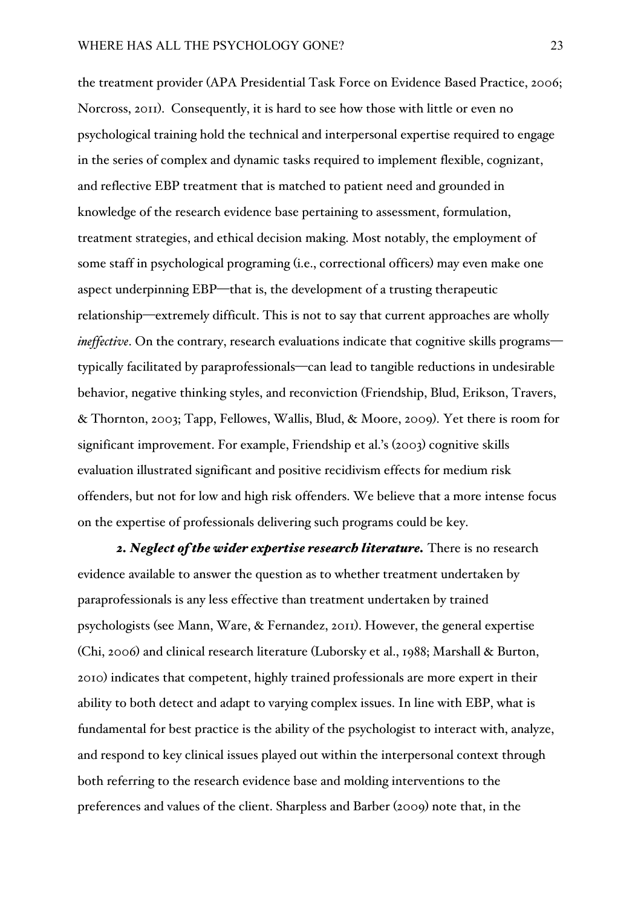the treatment provider (APA Presidential Task Force on Evidence Based Practice, 2006; Norcross, 2011). Consequently, it is hard to see how those with little or even no psychological training hold the technical and interpersonal expertise required to engage in the series of complex and dynamic tasks required to implement flexible, cognizant, and reflective EBP treatment that is matched to patient need and grounded in knowledge of the research evidence base pertaining to assessment, formulation, treatment strategies, and ethical decision making. Most notably, the employment of some staff in psychological programing (i.e., correctional officers) may even make one aspect underpinning EBP—that is, the development of a trusting therapeutic relationship—extremely difficult. This is not to say that current approaches are wholly *ineffective*. On the contrary, research evaluations indicate that cognitive skills programs typically facilitated by paraprofessionals—can lead to tangible reductions in undesirable behavior, negative thinking styles, and reconviction (Friendship, Blud, Erikson, Travers, & Thornton, 2003; Tapp, Fellowes, Wallis, Blud, & Moore, 2009). Yet there is room for significant improvement. For example, Friendship et al.'s (2003) cognitive skills evaluation illustrated significant and positive recidivism effects for medium risk offenders, but not for low and high risk offenders. We believe that a more intense focus on the expertise of professionals delivering such programs could be key.

*2. Neglect of the wider expertise research literature.* There is no research evidence available to answer the question as to whether treatment undertaken by paraprofessionals is any less effective than treatment undertaken by trained psychologists (see Mann, Ware, & Fernandez, 2011). However, the general expertise (Chi, 2006) and clinical research literature (Luborsky et al., 1988; Marshall & Burton, 2010) indicates that competent, highly trained professionals are more expert in their ability to both detect and adapt to varying complex issues. In line with EBP, what is fundamental for best practice is the ability of the psychologist to interact with, analyze, and respond to key clinical issues played out within the interpersonal context through both referring to the research evidence base and molding interventions to the preferences and values of the client. Sharpless and Barber (2009) note that, in the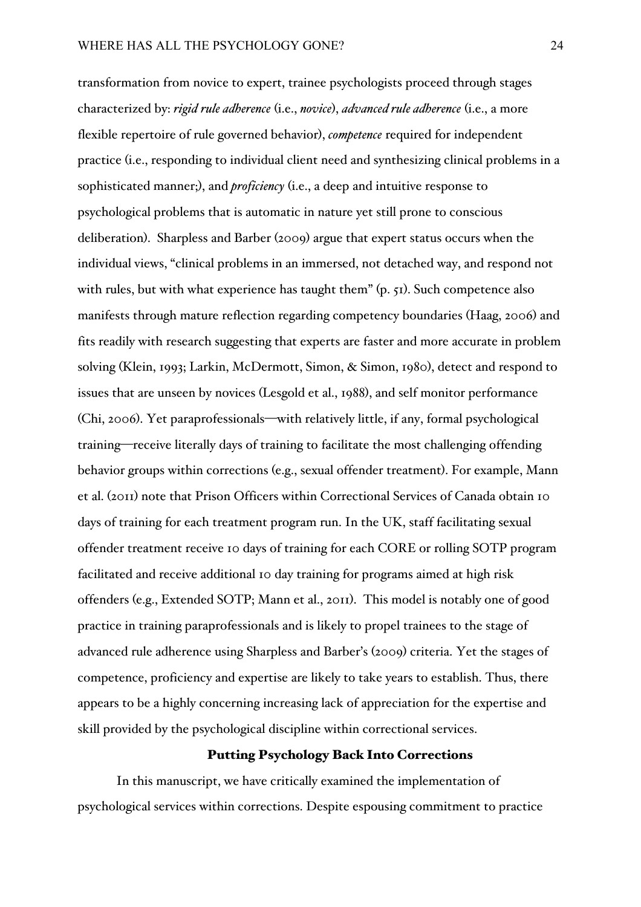transformation from novice to expert, trainee psychologists proceed through stages characterized by: *rigid rule adherence* (i.e., *novice*), *advanced rule adherence* (i.e., a more flexible repertoire of rule governed behavior), *competence* required for independent practice (i.e., responding to individual client need and synthesizing clinical problems in a sophisticated manner;), and *proficiency* (i.e., a deep and intuitive response to psychological problems that is automatic in nature yet still prone to conscious deliberation). Sharpless and Barber (2009) argue that expert status occurs when the individual views, "clinical problems in an immersed, not detached way, and respond not with rules, but with what experience has taught them" (p. 51). Such competence also manifests through mature reflection regarding competency boundaries (Haag, 2006) and fits readily with research suggesting that experts are faster and more accurate in problem solving (Klein, 1993; Larkin, McDermott, Simon, & Simon, 1980), detect and respond to issues that are unseen by novices (Lesgold et al., 1988), and self monitor performance (Chi, 2006). Yet paraprofessionals—with relatively little, if any, formal psychological training—receive literally days of training to facilitate the most challenging offending behavior groups within corrections (e.g., sexual offender treatment). For example, Mann et al. (2011) note that Prison Officers within Correctional Services of Canada obtain 10 days of training for each treatment program run. In the UK, staff facilitating sexual offender treatment receive 10 days of training for each CORE or rolling SOTP program facilitated and receive additional 10 day training for programs aimed at high risk offenders (e.g., Extended SOTP; Mann et al., 2011). This model is notably one of good practice in training paraprofessionals and is likely to propel trainees to the stage of advanced rule adherence using Sharpless and Barber's (2009) criteria. Yet the stages of competence, proficiency and expertise are likely to take years to establish. Thus, there appears to be a highly concerning increasing lack of appreciation for the expertise and skill provided by the psychological discipline within correctional services.

#### Putting Psychology Back Into Corrections

In this manuscript, we have critically examined the implementation of psychological services within corrections. Despite espousing commitment to practice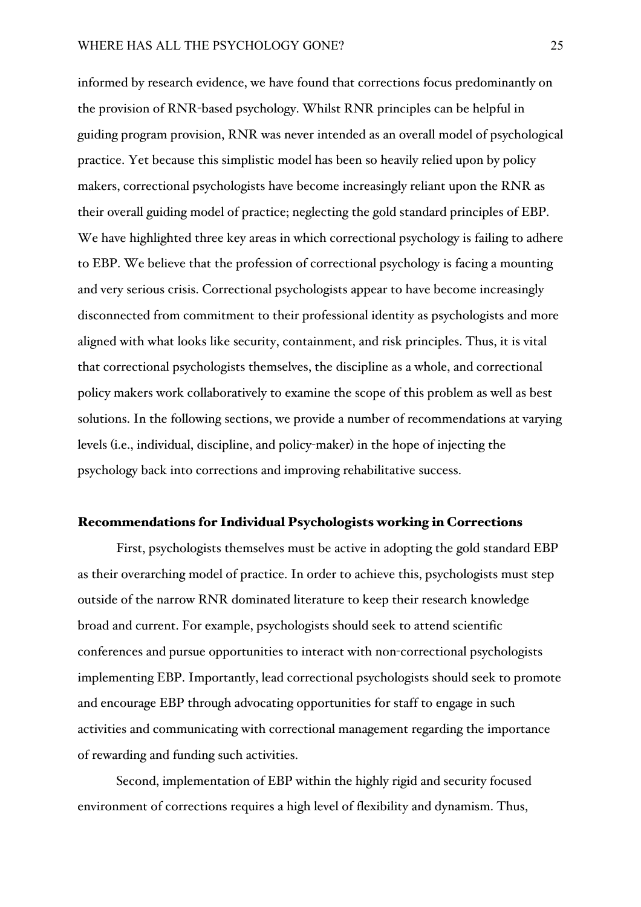informed by research evidence, we have found that corrections focus predominantly on the provision of RNR-based psychology. Whilst RNR principles can be helpful in guiding program provision, RNR was never intended as an overall model of psychological practice. Yet because this simplistic model has been so heavily relied upon by policy makers, correctional psychologists have become increasingly reliant upon the RNR as their overall guiding model of practice; neglecting the gold standard principles of EBP. We have highlighted three key areas in which correctional psychology is failing to adhere to EBP. We believe that the profession of correctional psychology is facing a mounting and very serious crisis. Correctional psychologists appear to have become increasingly disconnected from commitment to their professional identity as psychologists and more aligned with what looks like security, containment, and risk principles. Thus, it is vital that correctional psychologists themselves, the discipline as a whole, and correctional policy makers work collaboratively to examine the scope of this problem as well as best solutions. In the following sections, we provide a number of recommendations at varying levels (i.e., individual, discipline, and policy-maker) in the hope of injecting the psychology back into corrections and improving rehabilitative success.

#### Recommendations for Individual Psychologists working in Corrections

First, psychologists themselves must be active in adopting the gold standard EBP as their overarching model of practice. In order to achieve this, psychologists must step outside of the narrow RNR dominated literature to keep their research knowledge broad and current. For example, psychologists should seek to attend scientific conferences and pursue opportunities to interact with non-correctional psychologists implementing EBP. Importantly, lead correctional psychologists should seek to promote and encourage EBP through advocating opportunities for staff to engage in such activities and communicating with correctional management regarding the importance of rewarding and funding such activities.

Second, implementation of EBP within the highly rigid and security focused environment of corrections requires a high level of flexibility and dynamism. Thus,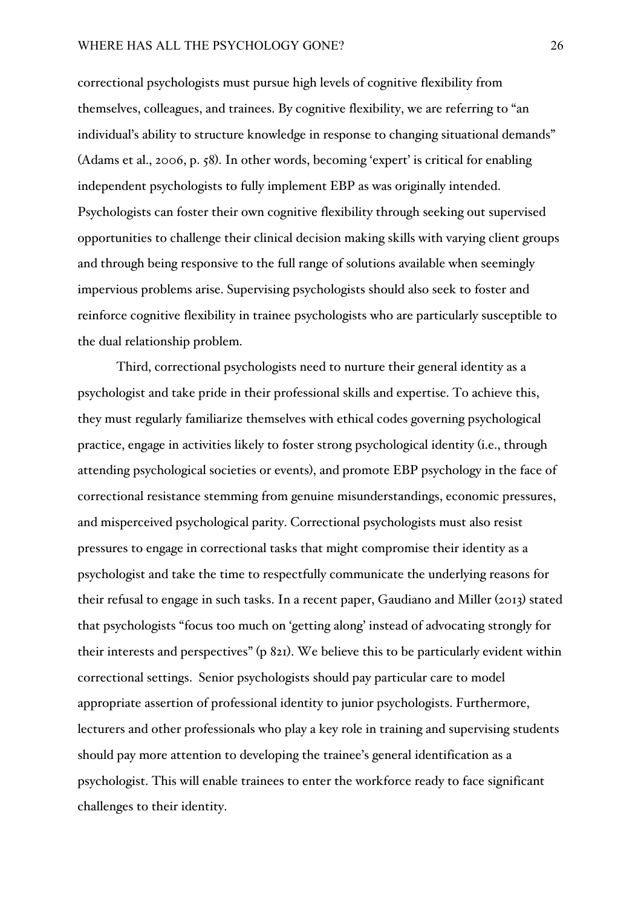correctional psychologists must pursue high levels of cognitive flexibility from themselves, colleagues, and trainees. By cognitive flexibility, we are referring to "an individual's ability to structure knowledge in response to changing situational demands" (Adams et al., 2006, p. 58). In other words, becoming 'expert' is critical for enabling independent psychologists to fully implement EBP as was originally intended. Psychologists can foster their own cognitive flexibility through seeking out supervised opportunities to challenge their clinical decision making skills with varying client groups and through being responsive to the full range of solutions available when seemingly impervious problems arise. Supervising psychologists should also seek to foster and reinforce cognitive flexibility in trainee psychologists who are particularly susceptible to the dual relationship problem.

Third, correctional psychologists need to nurture their general identity as a psychologist and take pride in their professional skills and expertise. To achieve this, they must regularly familiarize themselves with ethical codes governing psychological practice, engage in activities likely to foster strong psychological identity (i.e., through attending psychological societies or events), and promote EBP psychology in the face of correctional resistance stemming from genuine misunderstandings, economic pressures, and misperceived psychological parity. Correctional psychologists must also resist pressures to engage in correctional tasks that might compromise their identity as a psychologist and take the time to respectfully communicate the underlying reasons for their refusal to engage in such tasks. In a recent paper, Gaudiano and Miller (2013) stated that psychologists "focus too much on 'getting along' instead of advocating strongly for their interests and perspectives" (p 821). We believe this to be particularly evident within correctional settings. Senior psychologists should pay particular care to model appropriate assertion of professional identity to junior psychologists. Furthermore, lecturers and other professionals who play a key role in training and supervising students should pay more attention to developing the trainee's general identification as a psychologist. This will enable trainees to enter the workforce ready to face significant challenges to their identity.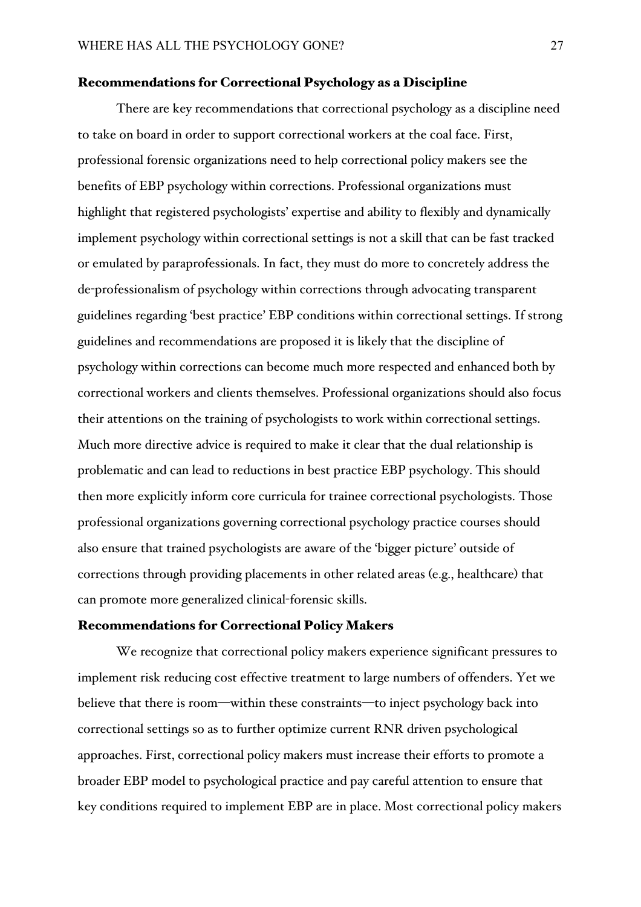#### Recommendations for Correctional Psychology as a Discipline

There are key recommendations that correctional psychology as a discipline need to take on board in order to support correctional workers at the coal face. First, professional forensic organizations need to help correctional policy makers see the benefits of EBP psychology within corrections. Professional organizations must highlight that registered psychologists' expertise and ability to flexibly and dynamically implement psychology within correctional settings is not a skill that can be fast tracked or emulated by paraprofessionals. In fact, they must do more to concretely address the de-professionalism of psychology within corrections through advocating transparent guidelines regarding 'best practice' EBP conditions within correctional settings. If strong guidelines and recommendations are proposed it is likely that the discipline of psychology within corrections can become much more respected and enhanced both by correctional workers and clients themselves. Professional organizations should also focus their attentions on the training of psychologists to work within correctional settings. Much more directive advice is required to make it clear that the dual relationship is problematic and can lead to reductions in best practice EBP psychology. This should then more explicitly inform core curricula for trainee correctional psychologists. Those professional organizations governing correctional psychology practice courses should also ensure that trained psychologists are aware of the 'bigger picture' outside of corrections through providing placements in other related areas (e.g., healthcare) that can promote more generalized clinical-forensic skills.

#### Recommendations for Correctional Policy Makers

We recognize that correctional policy makers experience significant pressures to implement risk reducing cost effective treatment to large numbers of offenders. Yet we believe that there is room—within these constraints—to inject psychology back into correctional settings so as to further optimize current RNR driven psychological approaches. First, correctional policy makers must increase their efforts to promote a broader EBP model to psychological practice and pay careful attention to ensure that key conditions required to implement EBP are in place. Most correctional policy makers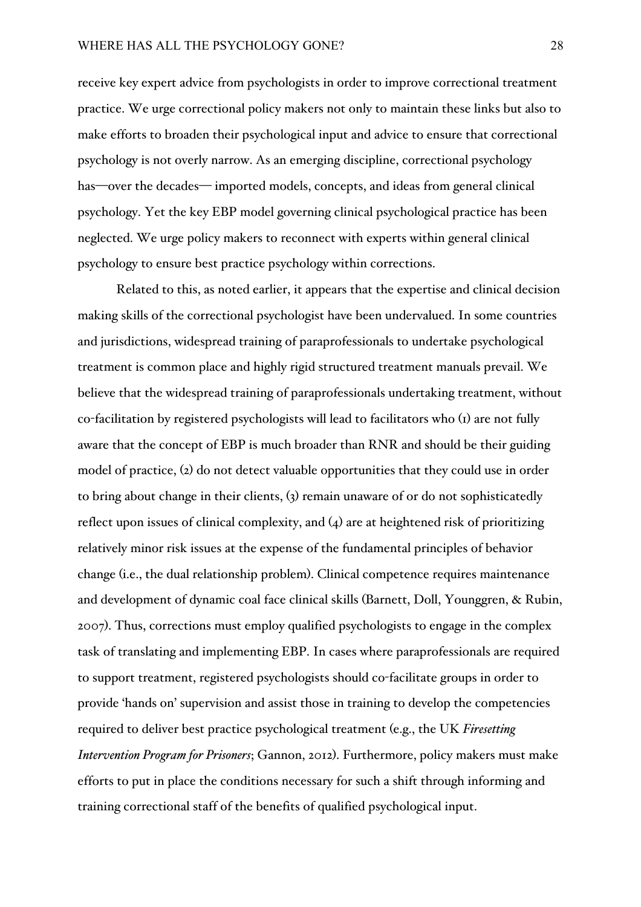receive key expert advice from psychologists in order to improve correctional treatment practice. We urge correctional policy makers not only to maintain these links but also to make efforts to broaden their psychological input and advice to ensure that correctional psychology is not overly narrow. As an emerging discipline, correctional psychology has—over the decades— imported models, concepts, and ideas from general clinical psychology. Yet the key EBP model governing clinical psychological practice has been neglected. We urge policy makers to reconnect with experts within general clinical psychology to ensure best practice psychology within corrections.

Related to this, as noted earlier, it appears that the expertise and clinical decision making skills of the correctional psychologist have been undervalued. In some countries and jurisdictions, widespread training of paraprofessionals to undertake psychological treatment is common place and highly rigid structured treatment manuals prevail. We believe that the widespread training of paraprofessionals undertaking treatment, without co-facilitation by registered psychologists will lead to facilitators who (1) are not fully aware that the concept of EBP is much broader than RNR and should be their guiding model of practice, (2) do not detect valuable opportunities that they could use in order to bring about change in their clients, (3) remain unaware of or do not sophisticatedly reflect upon issues of clinical complexity, and (4) are at heightened risk of prioritizing relatively minor risk issues at the expense of the fundamental principles of behavior change (i.e., the dual relationship problem). Clinical competence requires maintenance and development of dynamic coal face clinical skills (Barnett, Doll, Younggren, & Rubin, 2007). Thus, corrections must employ qualified psychologists to engage in the complex task of translating and implementing EBP. In cases where paraprofessionals are required to support treatment, registered psychologists should co-facilitate groups in order to provide 'hands on' supervision and assist those in training to develop the competencies required to deliver best practice psychological treatment (e.g., the UK *Firesetting Intervention Program for Prisoners*; Gannon, 2012). Furthermore, policy makers must make efforts to put in place the conditions necessary for such a shift through informing and training correctional staff of the benefits of qualified psychological input.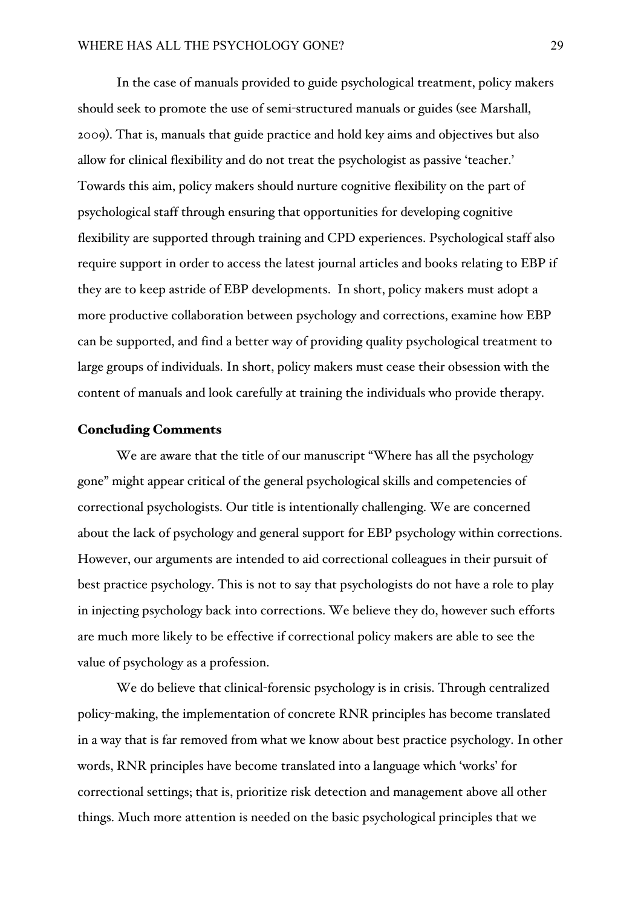In the case of manuals provided to guide psychological treatment, policy makers should seek to promote the use of semi-structured manuals or guides (see Marshall, 2009). That is, manuals that guide practice and hold key aims and objectives but also allow for clinical flexibility and do not treat the psychologist as passive 'teacher.' Towards this aim, policy makers should nurture cognitive flexibility on the part of psychological staff through ensuring that opportunities for developing cognitive flexibility are supported through training and CPD experiences. Psychological staff also require support in order to access the latest journal articles and books relating to EBP if they are to keep astride of EBP developments. In short, policy makers must adopt a more productive collaboration between psychology and corrections, examine how EBP can be supported, and find a better way of providing quality psychological treatment to large groups of individuals. In short, policy makers must cease their obsession with the content of manuals and look carefully at training the individuals who provide therapy.

#### Concluding Comments

We are aware that the title of our manuscript "Where has all the psychology gone" might appear critical of the general psychological skills and competencies of correctional psychologists. Our title is intentionally challenging. We are concerned about the lack of psychology and general support for EBP psychology within corrections. However, our arguments are intended to aid correctional colleagues in their pursuit of best practice psychology. This is not to say that psychologists do not have a role to play in injecting psychology back into corrections. We believe they do, however such efforts are much more likely to be effective if correctional policy makers are able to see the value of psychology as a profession.

We do believe that clinical-forensic psychology is in crisis. Through centralized policy-making, the implementation of concrete RNR principles has become translated in a way that is far removed from what we know about best practice psychology. In other words, RNR principles have become translated into a language which 'works' for correctional settings; that is, prioritize risk detection and management above all other things. Much more attention is needed on the basic psychological principles that we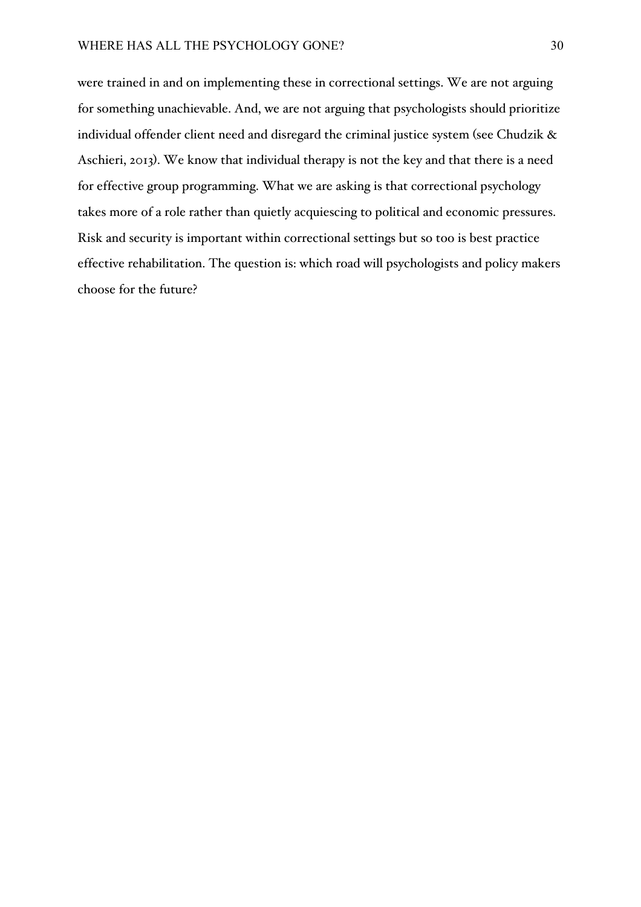were trained in and on implementing these in correctional settings. We are not arguing for something unachievable. And, we are not arguing that psychologists should prioritize individual offender client need and disregard the criminal justice system (see Chudzik & Aschieri, 2013). We know that individual therapy is not the key and that there is a need for effective group programming. What we are asking is that correctional psychology takes more of a role rather than quietly acquiescing to political and economic pressures. Risk and security is important within correctional settings but so too is best practice effective rehabilitation. The question is: which road will psychologists and policy makers choose for the future?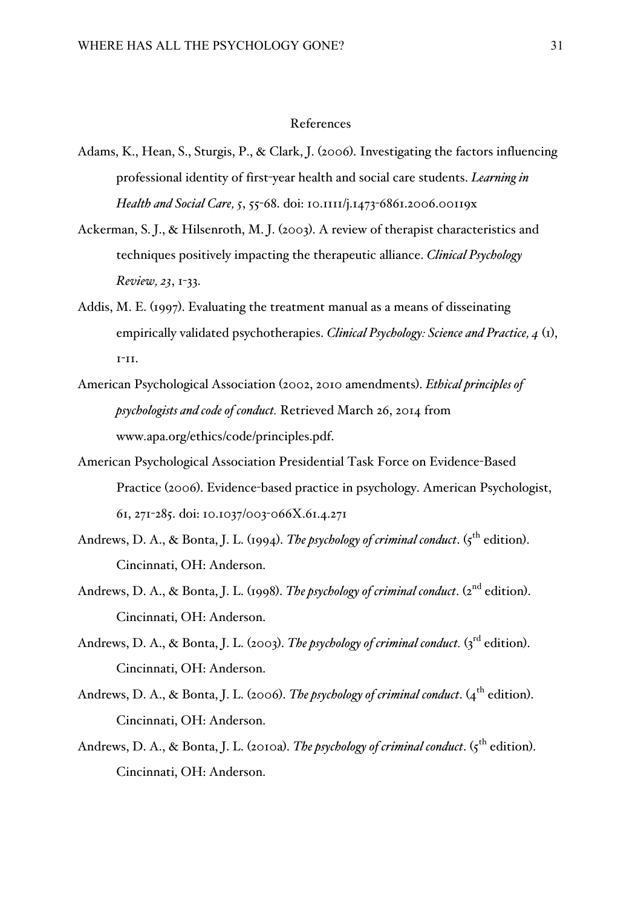#### References

- Adams, K., Hean, S., Sturgis, P., & Clark, J. (2006). Investigating the factors influencing professional identity of first-year health and social care students. *Learning in Health and Social Care, 5*, 55-68. doi: 10.1111/j.1473-6861.2006.00119x
- Ackerman, S. J., & Hilsenroth, M. J. (2003). A review of therapist characteristics and techniques positively impacting the therapeutic alliance. *Clinical Psychology Review, 23*, 1-33.
- Addis, M. E. (1997). Evaluating the treatment manual as a means of disseinating empirically validated psychotherapies. *Clinical Psychology: Science and Practice, 4* (1), 1-11.
- American Psychological Association (2002, 2010 amendments). *Ethical principles of psychologists and code of conduct.* Retrieved March 26, 2014 from www.apa.org/ethics/code/principles.pdf.
- American Psychological Association Presidential Task Force on Evidence-Based Practice (2006). Evidence-based practice in psychology. American Psychologist, 61, 271-285. doi: 10.1037/003-066X.61.4.271
- Andrews, D. A., & Bonta, J. L. (1994). *The psychology of criminal conduct*. (5<sup>th</sup> edition). Cincinnati, OH: Anderson.
- Andrews, D. A., & Bonta, J. L. (1998). *The psychology of criminal conduct*. (2<sup>nd</sup> edition). Cincinnati, OH: Anderson.
- Andrews, D. A., & Bonta, J. L. (2003). *The psychology of criminal conduct*. (3<sup>rd</sup> edition). Cincinnati, OH: Anderson.
- Andrews, D. A., & Bonta, J. L. (2006). *The psychology of criminal conduct*. (4<sup>th</sup> edition). Cincinnati, OH: Anderson.
- Andrews, D. A., & Bonta, J. L. (2010a). *The psychology of criminal conduct*. (5<sup>th</sup> edition). Cincinnati, OH: Anderson.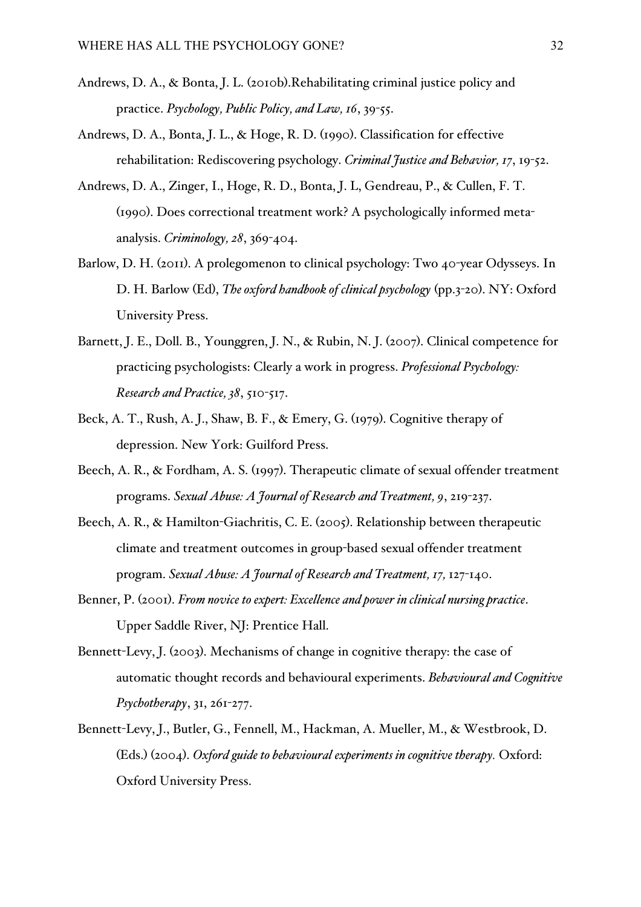- Andrews, D. A., & Bonta, J. L. (2010b).Rehabilitating criminal justice policy and practice. *Psychology, Public Policy, and Law, 16*, 39-55.
- Andrews, D. A., Bonta, J. L., & Hoge, R. D. (1990). Classification for effective rehabilitation: Rediscovering psychology. *Criminal Justice and Behavior, 17*, 19-52.
- Andrews, D. A., Zinger, I., Hoge, R. D., Bonta, J. L, Gendreau, P., & Cullen, F. T. (1990). Does correctional treatment work? A psychologically informed metaanalysis. *Criminology, 28*, 369-404.
- Barlow, D. H. (2011). A prolegomenon to clinical psychology: Two 40-year Odysseys. In D. H. Barlow (Ed), *The oxford handbook of clinical psychology* (pp.3-20). NY: Oxford University Press.
- Barnett, J. E., Doll. B., Younggren, J. N., & Rubin, N. J. (2007). Clinical competence for practicing psychologists: Clearly a work in progress. *Professional Psychology: Research and Practice, 38*, 510-517.
- Beck, A. T., Rush, A. J., Shaw, B. F., & Emery, G. (1979). Cognitive therapy of depression. New York: Guilford Press.
- Beech, A. R., & Fordham, A. S. (1997). Therapeutic climate of sexual offender treatment programs. *Sexual Abuse: A Journal of Research and Treatment, 9*, 219-237.
- Beech, A. R., & Hamilton-Giachritis, C. E. (2005). Relationship between therapeutic climate and treatment outcomes in group-based sexual offender treatment program. *Sexual Abuse: A Journal of Research and Treatment, 17, 127-140.*
- Benner, P. (2001). *From novice to expert: Excellence and power in clinical nursing practice*. Upper Saddle River, NJ: Prentice Hall.
- Bennett-Levy, J. (2003). Mechanisms of change in cognitive therapy: the case of automatic thought records and behavioural experiments. *Behavioural and Cognitive Psychotherapy*, 31, 261-277.
- Bennett-Levy, J., Butler, G., Fennell, M., Hackman, A. Mueller, M., & Westbrook, D. (Eds.) (2004). *Oxford guide to behavioural experiments in cognitive therapy.* Oxford: Oxford University Press.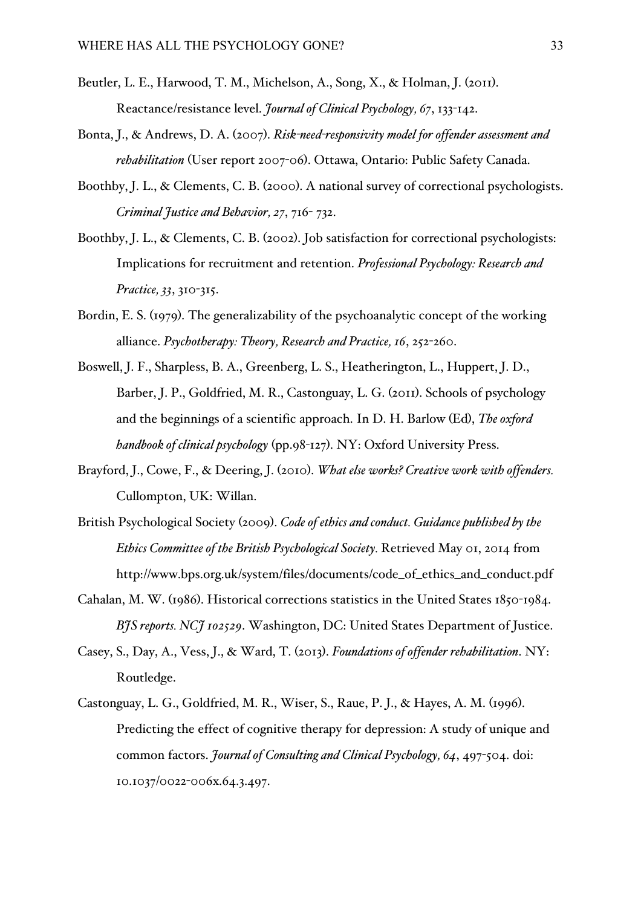- Beutler, L. E., Harwood, T. M., Michelson, A., Song, X., & Holman, J. (2011). Reactance/resistance level. *Journal of Clinical Psychology, 67*, 133-142.
- Bonta, J., & Andrews, D. A. (2007). *Risk-need-responsivity model for offender assessment and rehabilitation* (User report 2007-06). Ottawa, Ontario: Public Safety Canada.
- Boothby, J. L., & Clements, C. B. (2000). A national survey of correctional psychologists. *Criminal Justice and Behavior, 27*, 716- 732.
- Boothby, J. L., & Clements, C. B. (2002). Job satisfaction for correctional psychologists: Implications for recruitment and retention. *Professional Psychology: Research and Practice, 33*, 310-315.
- Bordin, E. S. (1979). The generalizability of the psychoanalytic concept of the working alliance. *Psychotherapy: Theory, Research and Practice, 16*, 252-260.
- Boswell, J. F., Sharpless, B. A., Greenberg, L. S., Heatherington, L., Huppert, J. D., Barber, J. P., Goldfried, M. R., Castonguay, L. G. (2011). Schools of psychology and the beginnings of a scientific approach. In D. H. Barlow (Ed), *The oxford handbook of clinical psychology* (pp.98-127). NY: Oxford University Press.
- Brayford, J., Cowe, F., & Deering, J. (2010). *What else works? Creative work with offenders.* Cullompton, UK: Willan.
- British Psychological Society (2009). *Code of ethics and conduct. Guidance published by the Ethics Committee of the British Psychological Society.* Retrieved May 01, 2014 from http://www.bps.org.uk/system/files/documents/code\_of\_ethics\_and\_conduct.pdf
- Cahalan, M. W. (1986). Historical corrections statistics in the United States 1850-1984. *BJS reports. NCJ 102529*. Washington, DC: United States Department of Justice.
- Casey, S., Day, A., Vess, J., & Ward, T. (2013). *Foundations of offender rehabilitation*. NY: Routledge.
- Castonguay, L. G., Goldfried, M. R., Wiser, S., Raue, P. J., & Hayes, A. M. (1996). Predicting the effect of cognitive therapy for depression: A study of unique and common factors. *Journal of Consulting and Clinical Psychology, 64*, 497-504. doi: 10.1037/0022-006x.64.3.497.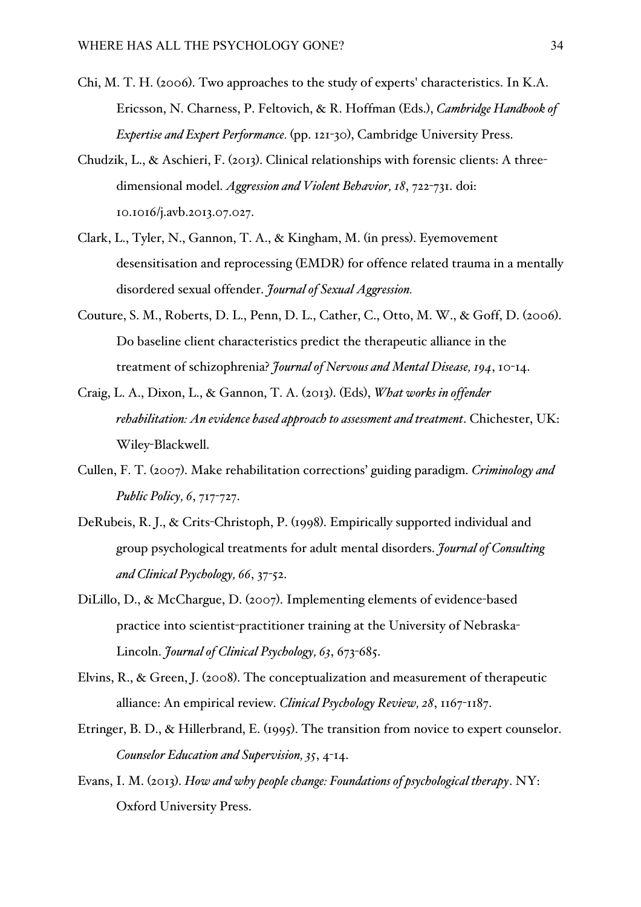- Chi, M. T. H. (2006). Two approaches to the study of experts' characteristics. In K.A. Ericsson, N. Charness, P. Feltovich, & R. Hoffman (Eds.), *Cambridge Handbook of Expertise and Expert Performance.* (pp. 121-30), Cambridge University Press.
- Chudzik, L., & Aschieri, F. (2013). Clinical relationships with forensic clients: A threedimensional model. *Aggression and Violent Behavior, 18*, 722-731. doi: 10.1016/j.avb.2013.07.027.
- Clark, L., Tyler, N., Gannon, T. A., & Kingham, M. (in press). Eyemovement desensitisation and reprocessing (EMDR) for offence related trauma in a mentally disordered sexual offender. *Journal of Sexual Aggression.*
- Couture, S. M., Roberts, D. L., Penn, D. L., Cather, C., Otto, M. W., & Goff, D. (2006). Do baseline client characteristics predict the therapeutic alliance in the treatment of schizophrenia? *Journal of Nervous and Mental Disease, 194*, 10-14.
- Craig, L. A., Dixon, L., & Gannon, T. A. (2013). (Eds), *What works in offender rehabilitation: An evidence based approach to assessment and treatment*. Chichester, UK: Wiley-Blackwell.
- Cullen, F. T. (2007). Make rehabilitation corrections' guiding paradigm. *Criminology and Public Policy, 6*, 717-727.
- DeRubeis, R. J., & Crits-Christoph, P. (1998). Empirically supported individual and group psychological treatments for adult mental disorders. *Journal of Consulting and Clinical Psychology, 66*, 37-52.
- DiLillo, D., & McChargue, D. (2007). Implementing elements of evidence-based practice into scientist-practitioner training at the University of Nebraska-Lincoln. *Journal of Clinical Psychology, 63*, 673-685.
- Elvins, R., & Green, J. (2008). The conceptualization and measurement of therapeutic alliance: An empirical review. *Clinical Psychology Review, 28*, 1167-1187.
- Etringer, B. D., & Hillerbrand, E. (1995). The transition from novice to expert counselor. *Counselor Education and Supervision, 35*, 4-14.
- Evans, I. M. (2013). *How and why people change: Foundations of psychological therapy*. NY: Oxford University Press.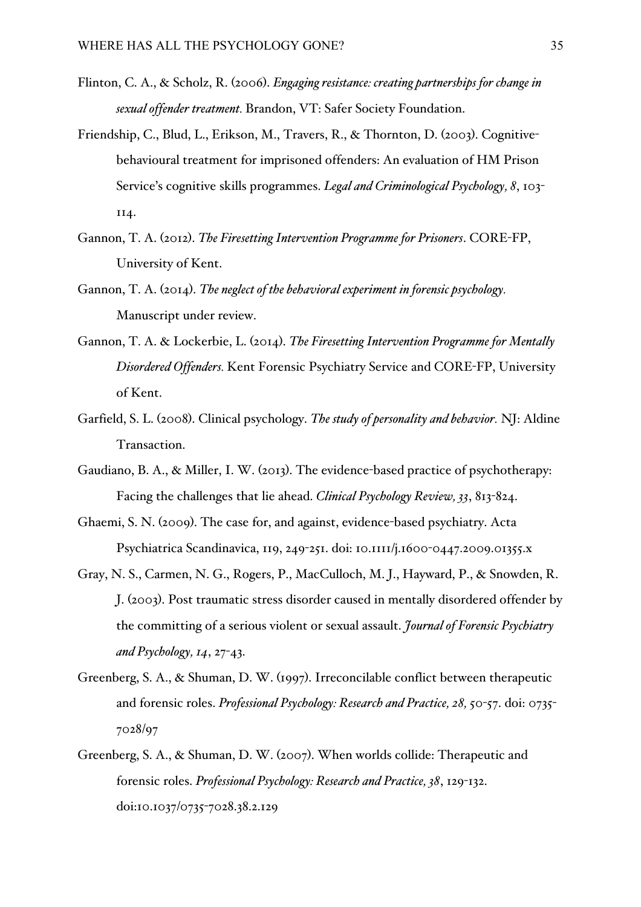- Flinton, C. A., & Scholz, R. (2006). *Engaging resistance: creating partnerships for change in sexual offender treatment.* Brandon, VT: Safer Society Foundation.
- Friendship, C., Blud, L., Erikson, M., Travers, R., & Thornton, D. (2003). Cognitivebehavioural treatment for imprisoned offenders: An evaluation of HM Prison Service's cognitive skills programmes. *Legal and Criminological Psychology, 8*, 103- 114.
- Gannon, T. A. (2012). *The Firesetting Intervention Programme for Prisoners*. CORE-FP, University of Kent.
- Gannon, T. A. (2014). *The neglect of the behavioral experiment in forensic psychology.*  Manuscript under review.
- Gannon, T. A. & Lockerbie, L. (2014). *The Firesetting Intervention Programme for Mentally Disordered Offenders.* Kent Forensic Psychiatry Service and CORE-FP, University of Kent.
- Garfield, S. L. (2008). Clinical psychology. *The study of personality and behavior.* NJ: Aldine Transaction.
- Gaudiano, B. A., & Miller, I. W. (2013). The evidence-based practice of psychotherapy: Facing the challenges that lie ahead. *Clinical Psychology Review, 33*, 813-824.
- Ghaemi, S. N. (2009). The case for, and against, evidence-based psychiatry. Acta Psychiatrica Scandinavica, 119, 249-251. doi: 10.1111/j.1600-0447.2009.01355.x
- Gray, N. S., Carmen, N. G., Rogers, P., MacCulloch, M. J., Hayward, P., & Snowden, R. J. (2003). Post traumatic stress disorder caused in mentally disordered offender by the committing of a serious violent or sexual assault. *Journal of Forensic Psychiatry and Psychology, 14*, 27-43.
- Greenberg, S. A., & Shuman, D. W. (1997). Irreconcilable conflict between therapeutic and forensic roles. *Professional Psychology: Research and Practice, 28,* 50-57. doi: 0735- 7028/97
- Greenberg, S. A., & Shuman, D. W. (2007). When worlds collide: Therapeutic and forensic roles. *Professional Psychology: Research and Practice, 38*, 129-132. doi:10.1037/0735-7028.38.2.129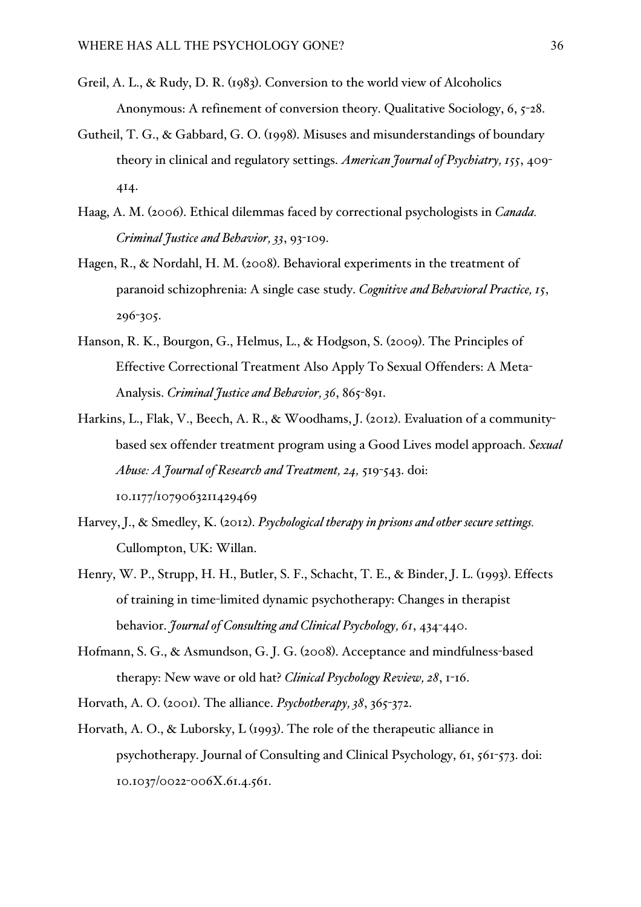- Greil, A. L., & Rudy, D. R. (1983). Conversion to the world view of Alcoholics Anonymous: A refinement of conversion theory. Qualitative Sociology, 6, 5-28.
- Gutheil, T. G., & Gabbard, G. O. (1998). Misuses and misunderstandings of boundary theory in clinical and regulatory settings. *American Journal of Psychiatry, 155*, 409- 414.
- Haag, A. M. (2006). Ethical dilemmas faced by correctional psychologists in *Canada. Criminal Justice and Behavior, 33*, 93-109.
- Hagen, R., & Nordahl, H. M. (2008). Behavioral experiments in the treatment of paranoid schizophrenia: A single case study. *Cognitive and Behavioral Practice, 15*, 296-305.
- Hanson, R. K., Bourgon, G., Helmus, L., & Hodgson, S. (2009). The Principles of Effective Correctional Treatment Also Apply To Sexual Offenders: A Meta-Analysis. *Criminal Justice and Behavior, 36*, 865-891.
- Harkins, L., Flak, V., Beech, A. R., & Woodhams, J. (2012). Evaluation of a communitybased sex offender treatment program using a Good Lives model approach. *Sexual Abuse: A Journal of Research and Treatment, 24,* 519-543. doi: 10.1177/1079063211429469
- Harvey, J., & Smedley, K. (2012). *Psychological therapy in prisons and other secure settings.*  Cullompton, UK: Willan.
- Henry, W. P., Strupp, H. H., Butler, S. F., Schacht, T. E., & Binder, J. L. (1993). Effects of training in time-limited dynamic psychotherapy: Changes in therapist behavior. *Journal of Consulting and Clinical Psychology, 61*, 434-440.
- Hofmann, S. G., & Asmundson, G. J. G. (2008). Acceptance and mindfulness-based therapy: New wave or old hat? *Clinical Psychology Review, 28*, 1-16.

Horvath, A. O. (2001). The alliance. *Psychotherapy*, 38, 365-372.

Horvath, A. O., & Luborsky, L (1993). The role of the therapeutic alliance in psychotherapy. Journal of Consulting and Clinical Psychology, 61, 561-573. doi: 10.1037/0022-006X.61.4.561.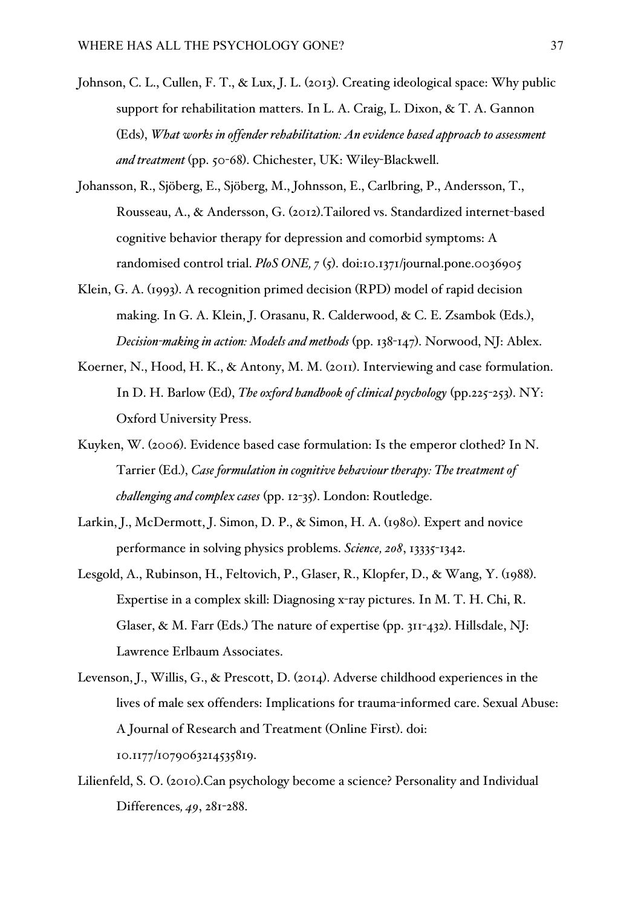- Johnson, C. L., Cullen, F. T., & Lux, J. L. (2013). Creating ideological space: Why public support for rehabilitation matters. In L. A. Craig, L. Dixon, & T. A. Gannon (Eds), *What works in offender rehabilitation: An evidence based approach to assessment and treatment* (pp. 50-68). Chichester, UK: Wiley-Blackwell.
- Johansson, R., Sjöberg, E., Sjöberg, M., Johnsson, E., Carlbring, P., Andersson, T., Rousseau, A., & Andersson, G. (2012).Tailored vs. Standardized internet-based cognitive behavior therapy for depression and comorbid symptoms: A randomised control trial. *PloS ONE, 7* (5). doi:10.1371/journal.pone.0036905
- Klein, G. A. (1993). A recognition primed decision (RPD) model of rapid decision making. In G. A. Klein, J. Orasanu, R. Calderwood, & C. E. Zsambok (Eds.), *Decision-making in action: Models and methods* (pp. 138-147). Norwood, NJ: Ablex.
- Koerner, N., Hood, H. K., & Antony, M. M. (2011). Interviewing and case formulation. In D. H. Barlow (Ed), *The oxford handbook of clinical psychology* (pp.225-253). NY: Oxford University Press.
- Kuyken, W. (2006). Evidence based case formulation: Is the emperor clothed? In N. Tarrier (Ed.), *Case formulation in cognitive behaviour therapy: The treatment of challenging and complex cases* (pp. 12-35). London: Routledge.
- Larkin, J., McDermott, J. Simon, D. P., & Simon, H. A. (1980). Expert and novice performance in solving physics problems. *Science, 208*, 13335-1342.
- Lesgold, A., Rubinson, H., Feltovich, P., Glaser, R., Klopfer, D., & Wang, Y. (1988). Expertise in a complex skill: Diagnosing x-ray pictures. In M. T. H. Chi, R. Glaser, & M. Farr (Eds.) The nature of expertise (pp. 311-432). Hillsdale, NJ: Lawrence Erlbaum Associates.
- Levenson, J., Willis, G., & Prescott, D. (2014). Adverse childhood experiences in the lives of male sex offenders: Implications for trauma-informed care. Sexual Abuse: A Journal of Research and Treatment (Online First). doi: 10.1177/1079063214535819.
- Lilienfeld, S. O. (2010).Can psychology become a science? Personality and Individual Differences*, 49*, 281-288.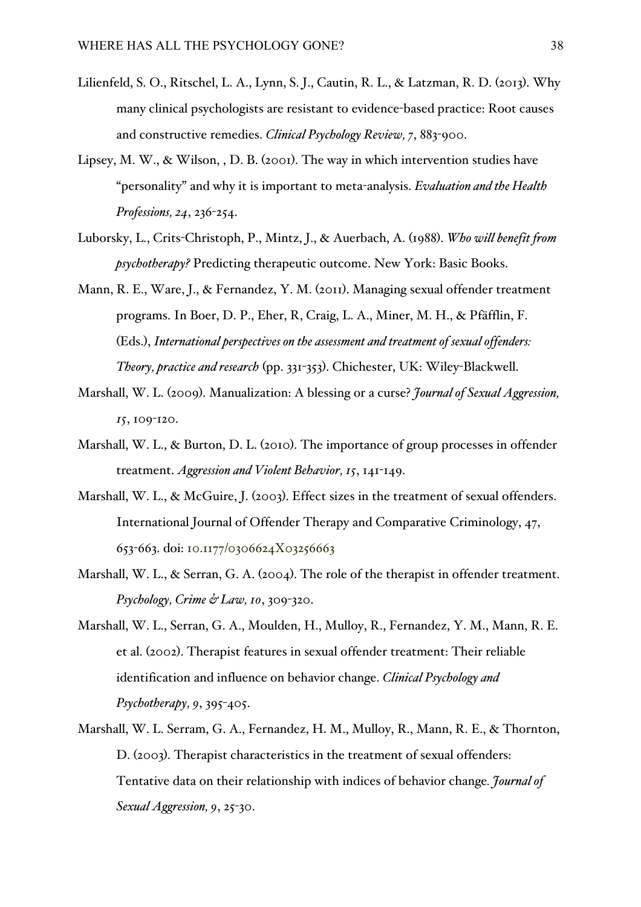- Lilienfeld, S. O., Ritschel, L. A., Lynn, S. J., Cautin, R. L., & Latzman, R. D. (2013). Why many clinical psychologists are resistant to evidence-based practice: Root causes and constructive remedies. *Clinical Psychology Review, 7*, 883-900.
- Lipsey, M. W., & Wilson, , D. B. (2001). The way in which intervention studies have "personality" and why it is important to meta-analysis. *Evaluation and the Health Professions, 24*, 236-254.
- Luborsky, L., Crits-Christoph, P., Mintz, J., & Auerbach, A. (1988). *Who will benefit from psychotherapy?* Predicting therapeutic outcome. New York: Basic Books.
- Mann, R. E., Ware, J., & Fernandez, Y. M. (2011). Managing sexual offender treatment programs. In Boer, D. P., Eher, R, Craig, L. A., Miner, M. H., & Pfäfflin, F. (Eds.), *International perspectives on the assessment and treatment of sexual offenders: Theory, practice and research* (pp. 331-353). Chichester, UK: Wiley-Blackwell.
- Marshall, W. L. (2009). Manualization: A blessing or a curse? *Journal of Sexual Aggression, 15*, 109-120.
- Marshall, W. L., & Burton, D. L. (2010). The importance of group processes in offender treatment. *Aggression and Violent Behavior, 15*, 141-149.
- Marshall, W. L., & McGuire, J. (2003). Effect sizes in the treatment of sexual offenders. International Journal of Offender Therapy and Comparative Criminology, 47, 653-663. doi: 10.1177/0306624X03256663
- Marshall, W. L., & Serran, G. A. (2004). The role of the therapist in offender treatment. *Psychology, Crime & Law, 10*, 309-320.
- Marshall, W. L., Serran, G. A., Moulden, H., Mulloy, R., Fernandez, Y. M., Mann, R. E. et al. (2002). Therapist features in sexual offender treatment: Their reliable identification and influence on behavior change. *Clinical Psychology and Psychotherapy, 9*, 395-405.
- Marshall, W. L. Serram, G. A., Fernandez, H. M., Mulloy, R., Mann, R. E., & Thornton, D. (2003). Therapist characteristics in the treatment of sexual offenders: Tentative data on their relationship with indices of behavior change*. Journal of Sexual Aggression, 9*, 25-30.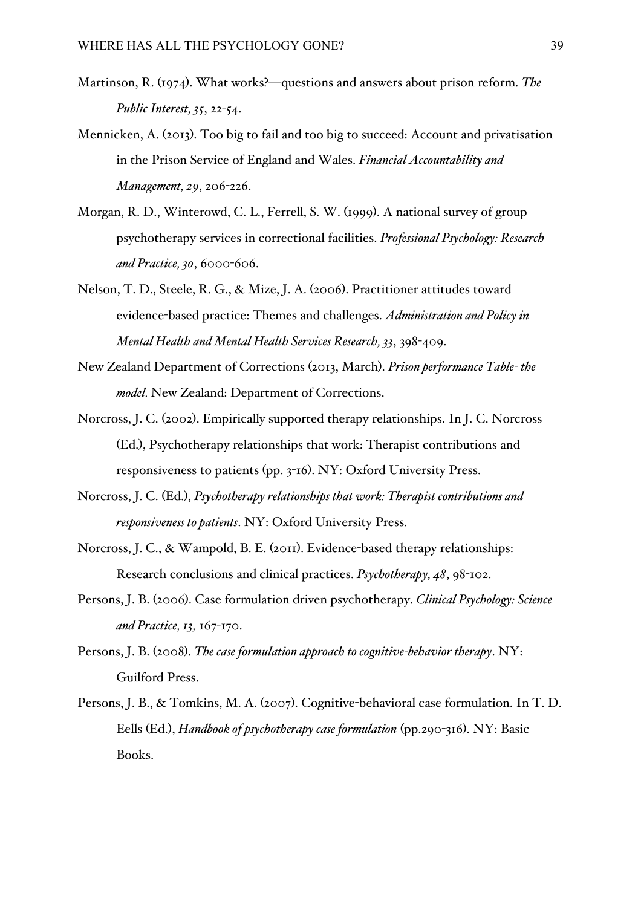- Martinson, R. (1974). What works?—questions and answers about prison reform. *The Public Interest, 35*, 22-54.
- Mennicken, A. (2013). Too big to fail and too big to succeed: Account and privatisation in the Prison Service of England and Wales. *Financial Accountability and Management, 29*, 206-226.
- Morgan, R. D., Winterowd, C. L., Ferrell, S. W. (1999). A national survey of group psychotherapy services in correctional facilities. *Professional Psychology: Research and Practice, 30*, 6000-606.
- Nelson, T. D., Steele, R. G., & Mize, J. A. (2006). Practitioner attitudes toward evidence-based practice: Themes and challenges. *Administration and Policy in Mental Health and Mental Health Services Research, 33*, 398-409.
- New Zealand Department of Corrections (2013, March). *Prison performance Table- the model.* New Zealand: Department of Corrections.
- Norcross, J. C. (2002). Empirically supported therapy relationships. In J. C. Norcross (Ed.), Psychotherapy relationships that work: Therapist contributions and responsiveness to patients (pp. 3-16). NY: Oxford University Press.
- Norcross, J. C. (Ed.), *Psychotherapy relationships that work: Therapist contributions and responsiveness to patients*. NY: Oxford University Press.

Norcross, J. C., & Wampold, B. E. (2011). Evidence-based therapy relationships: Research conclusions and clinical practices. *Psychotherapy, 48*, 98-102.

- Persons, J. B. (2006). Case formulation driven psychotherapy. *Clinical Psychology: Science and Practice, 13,* 167-170.
- Persons, J. B. (2008). *The case formulation approach to cognitive-behavior therapy*. NY: Guilford Press.
- Persons, J. B., & Tomkins, M. A. (2007). Cognitive-behavioral case formulation. In T. D. Eells (Ed.), *Handbook of psychotherapy case formulation* (pp.290-316). NY: Basic Books.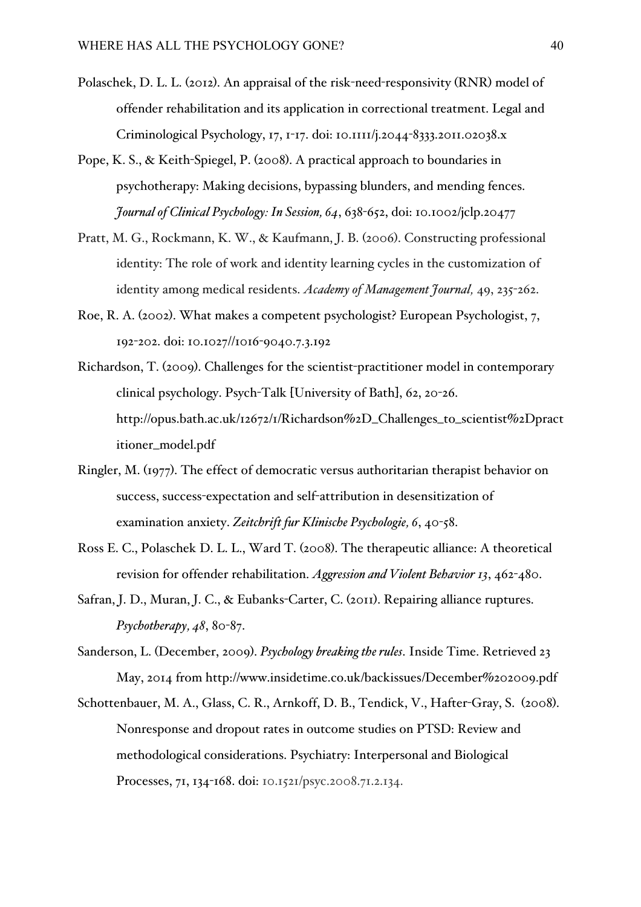- Polaschek, D. L. L. (2012). An appraisal of the risk-need-responsivity (RNR) model of offender rehabilitation and its application in correctional treatment. Legal and Criminological Psychology, 17, 1-17. doi: 10.1111/j.2044-8333.2011.02038.x
- Pope, K. S., & Keith-Spiegel, P. (2008). A practical approach to boundaries in psychotherapy: Making decisions, bypassing blunders, and mending fences. *Journal of Clinical Psychology: In Session, 64*, 638-652, doi: 10.1002/jclp.20477
- Pratt, M. G., Rockmann, K. W., & Kaufmann, J. B. (2006). Constructing professional identity: The role of work and identity learning cycles in the customization of identity among medical residents. *Academy of Management Journal,* 49, 235-262.
- Roe, R. A. (2002). What makes a competent psychologist? European Psychologist, 7, 192-202. doi: 10.1027//1016-9040.7.3.192
- Richardson, T. (2009). Challenges for the scientist-practitioner model in contemporary clinical psychology. Psych-Talk [University of Bath], 62, 20-26. http://opus.bath.ac.uk/12672/1/Richardson%2D\_Challenges\_to\_scientist%2Dpract itioner\_model.pdf
- Ringler, M. (1977). The effect of democratic versus authoritarian therapist behavior on success, success-expectation and self-attribution in desensitization of examination anxiety. *Zeitchrift fur Klinische Psychologie, 6*, 40-58.
- Ross E. C., Polaschek D. L. L., Ward T. (2008). The therapeutic alliance: A theoretical revision for offender rehabilitation. *Aggression and Violent Behavior 13*, 462-480.
- Safran, J. D., Muran, J. C., & Eubanks-Carter, C. (2011). Repairing alliance ruptures. *Psychotherapy, 48*, 80-87.
- Sanderson, L. (December, 2009). *Psychology breaking the rules*. Inside Time. Retrieved 23 May, 2014 from http://www.insidetime.co.uk/backissues/December%202009.pdf
- Schottenbauer, M. A., Glass, C. R., Arnkoff, D. B., Tendick, V., Hafter-Gray, S. (2008). Nonresponse and dropout rates in outcome studies on PTSD: Review and methodological considerations. Psychiatry: Interpersonal and Biological Processes, 71, 134-168. doi: 10.1521/psyc.2008.71.2.134.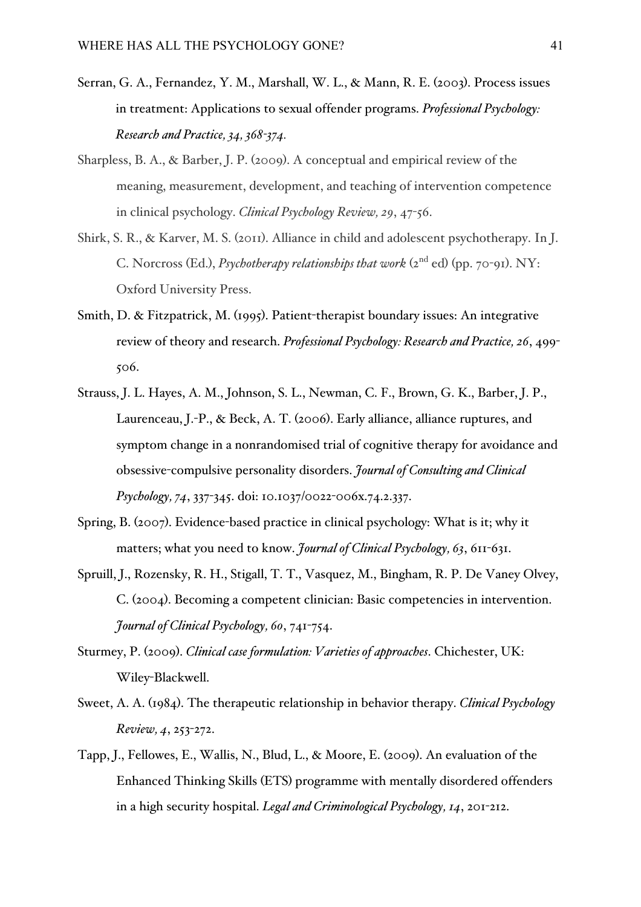- Serran, G. A., Fernandez, Y. M., Marshall, W. L., & Mann, R. E. (2003). Process issues in treatment: Applications to sexual offender programs. *Professional Psychology: Research and Practice, 34, 368-374.*
- Sharpless, B. A., & Barber, J. P. (2009). A conceptual and empirical review of the meaning, measurement, development, and teaching of intervention competence in clinical psychology. *Clinical Psychology Review, 29*, 47-56.
- Shirk, S. R., & Karver, M. S. (2011). Alliance in child and adolescent psychotherapy. In J. C. Norcross (Ed.), *Psychotherapy relationships that work* (2<sup>nd</sup> ed) (pp. 70-91). NY: Oxford University Press.
- Smith, D. & Fitzpatrick, M. (1995). Patient-therapist boundary issues: An integrative review of theory and research. *Professional Psychology: Research and Practice, 26*, 499- 506.
- Strauss, J. L. Hayes, A. M., Johnson, S. L., Newman, C. F., Brown, G. K., Barber, J. P., Laurenceau, J.-P., & Beck, A. T. (2006). Early alliance, alliance ruptures, and symptom change in a nonrandomised trial of cognitive therapy for avoidance and obsessive-compulsive personality disorders. *Journal of Consulting and Clinical Psychology, 74*, 337-345. doi: 10.1037/0022-006x.74.2.337.
- Spring, B. (2007). Evidence-based practice in clinical psychology: What is it; why it matters; what you need to know. *Journal of Clinical Psychology, 63*, 611-631.
- Spruill, J., Rozensky, R. H., Stigall, T. T., Vasquez, M., Bingham, R. P. De Vaney Olvey, C. (2004). Becoming a competent clinician: Basic competencies in intervention. *Journal of Clinical Psychology, 60*, 741-754.
- Sturmey, P. (2009). *Clinical case formulation: Varieties of approaches*. Chichester, UK: Wiley-Blackwell.
- Sweet, A. A. (1984). The therapeutic relationship in behavior therapy. *Clinical Psychology Review, 4*, 253-272.
- Tapp, J., Fellowes, E., Wallis, N., Blud, L., & Moore, E. (2009). An evaluation of the Enhanced Thinking Skills (ETS) programme with mentally disordered offenders in a high security hospital. *Legal and Criminological Psychology, 14*, 201-212.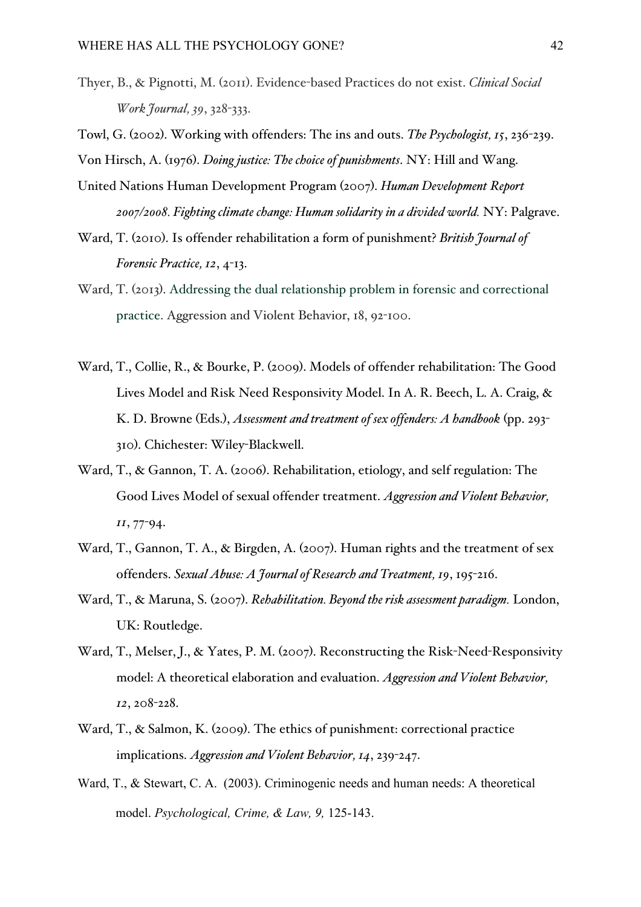Thyer, B., & Pignotti, M. (2011). Evidence-based Practices do not exist. *Clinical Social Work Journal, 39*, 328-333.

Towl, G. (2002). Working with offenders: The ins and outs. *The Psychologist, 15*, 236-239.

Von Hirsch, A. (1976). *Doing justice: The choice of punishments*. NY: Hill and Wang.

- United Nations Human Development Program (2007). *Human Development Report 2007/2008. Fighting climate change: Human solidarity in a divided world.* NY: Palgrave.
- Ward, T. (2010). Is offender rehabilitation a form of punishment? *British Journal of Forensic Practice, 12*, 4-13.
- Ward, T. (2013). Addressing the dual relationship problem in forensic and correctional practice. Aggression and Violent Behavior, 18, 92-100.
- Ward, T., Collie, R., & Bourke, P. (2009). Models of offender rehabilitation: The Good Lives Model and Risk Need Responsivity Model. In A. R. Beech, L. A. Craig, & K. D. Browne (Eds.), *Assessment and treatment of sex offenders: A handbook* (pp. 293- 310). Chichester: Wiley-Blackwell.
- Ward, T., & Gannon, T. A. (2006). Rehabilitation, etiology, and self regulation: The Good Lives Model of sexual offender treatment. *Aggression and Violent Behavior, 11*, 77-94.
- Ward, T., Gannon, T. A., & Birgden, A. (2007). Human rights and the treatment of sex offenders. *Sexual Abuse: A Journal of Research and Treatment, 19*, 195-216.
- Ward, T., & Maruna, S. (2007). *Rehabilitation. Beyond the risk assessment paradigm.* London, UK: Routledge.
- Ward, T., Melser, J., & Yates, P. M. (2007). Reconstructing the Risk-Need-Responsivity model: A theoretical elaboration and evaluation. *Aggression and Violent Behavior, 12*, 208-228.
- Ward, T., & Salmon, K. (2009). The ethics of punishment: correctional practice implications. *Aggression and Violent Behavior, 14*, 239-247.
- Ward, T., & Stewart, C. A. (2003). Criminogenic needs and human needs: A theoretical model. *Psychological, Crime, & Law, 9,* 125-143.